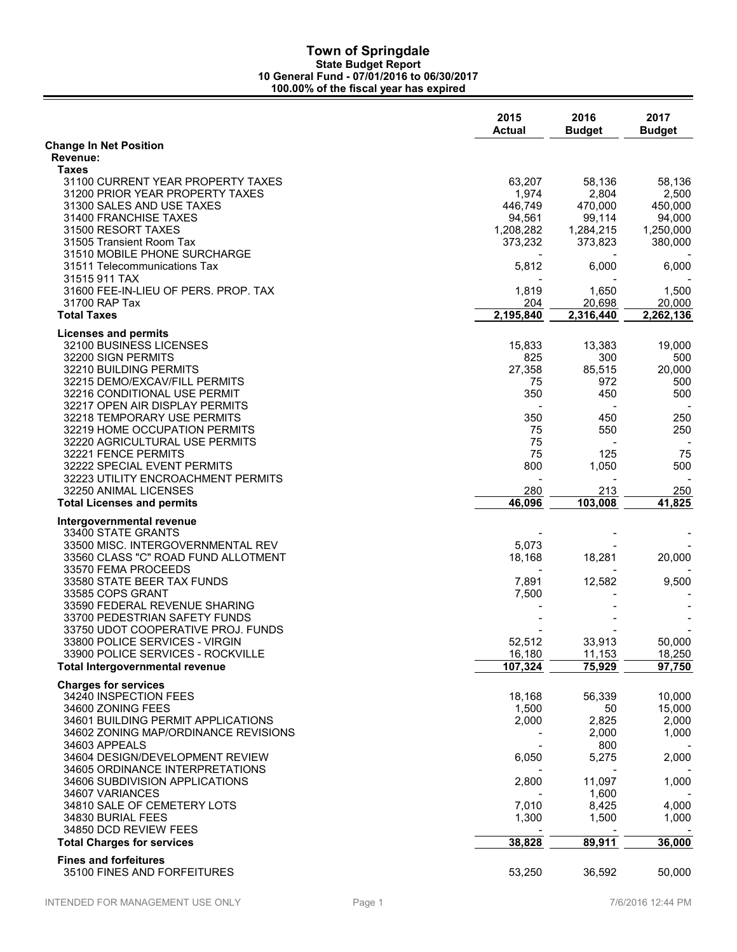|                                                                | 2015<br><b>Actual</b> | 2016<br><b>Budget</b> | 2017<br><b>Budget</b> |
|----------------------------------------------------------------|-----------------------|-----------------------|-----------------------|
| <b>Change In Net Position</b>                                  |                       |                       |                       |
| Revenue:                                                       |                       |                       |                       |
| Taxes                                                          |                       |                       |                       |
| 31100 CURRENT YEAR PROPERTY TAXES                              | 63,207                | 58,136                | 58,136                |
| 31200 PRIOR YEAR PROPERTY TAXES<br>31300 SALES AND USE TAXES   | 1,974<br>446,749      | 2,804<br>470,000      | 2,500<br>450,000      |
| 31400 FRANCHISE TAXES                                          | 94,561                | 99,114                | 94,000                |
| 31500 RESORT TAXES                                             | 1,208,282             | 1,284,215             | 1,250,000             |
| 31505 Transient Room Tax                                       | 373,232               | 373,823               | 380,000               |
| 31510 MOBILE PHONE SURCHARGE                                   |                       |                       |                       |
| 31511 Telecommunications Tax                                   | 5,812                 | 6,000                 | 6,000                 |
| 31515 911 TAX                                                  |                       |                       |                       |
| 31600 FEE-IN-LIEU OF PERS. PROP. TAX                           | 1,819                 | 1,650                 | 1,500                 |
| 31700 RAP Tax                                                  | 204                   | 20,698                | 20,000                |
| <b>Total Taxes</b>                                             | 2,195,840             | 2,316,440             | 2,262,136             |
| <b>Licenses and permits</b>                                    |                       |                       |                       |
| 32100 BUSINESS LICENSES                                        | 15,833                | 13,383                | 19,000                |
| 32200 SIGN PERMITS                                             | 825                   | 300                   | 500                   |
| 32210 BUILDING PERMITS                                         | 27,358                | 85,515                | 20,000                |
| 32215 DEMO/EXCAV/FILL PERMITS                                  | 75                    | 972                   | 500                   |
| 32216 CONDITIONAL USE PERMIT                                   | 350                   | 450                   | 500                   |
| 32217 OPEN AIR DISPLAY PERMITS                                 |                       |                       |                       |
| 32218 TEMPORARY USE PERMITS                                    | 350                   | 450                   | 250                   |
| 32219 HOME OCCUPATION PERMITS                                  | 75                    | 550                   | 250                   |
| 32220 AGRICULTURAL USE PERMITS                                 | 75                    |                       |                       |
| 32221 FENCE PERMITS                                            | 75                    | 125                   | 75                    |
| 32222 SPECIAL EVENT PERMITS                                    | 800                   | 1,050                 | 500                   |
| 32223 UTILITY ENCROACHMENT PERMITS                             |                       |                       |                       |
| 32250 ANIMAL LICENSES                                          | 280<br>46,096         | 213<br>103,008        | 250<br>41,825         |
| <b>Total Licenses and permits</b>                              |                       |                       |                       |
| Intergovernmental revenue                                      |                       |                       |                       |
| 33400 STATE GRANTS                                             |                       |                       |                       |
| 33500 MISC. INTERGOVERNMENTAL REV                              | 5,073                 |                       |                       |
| 33560 CLASS "C" ROAD FUND ALLOTMENT                            | 18,168                | 18,281                | 20,000                |
| 33570 FEMA PROCEEDS                                            |                       |                       |                       |
| 33580 STATE BEER TAX FUNDS                                     | 7,891                 | 12,582                | 9,500                 |
| 33585 COPS GRANT                                               | 7,500                 |                       |                       |
| 33590 FEDERAL REVENUE SHARING<br>33700 PEDESTRIAN SAFETY FUNDS |                       |                       |                       |
| 33750 UDOT COOPERATIVE PROJ. FUNDS                             |                       |                       |                       |
| 33800 POLICE SERVICES - VIRGIN                                 | 52,512                | 33,913                | 50,000                |
| 33900 POLICE SERVICES - ROCKVILLE                              | 16,180                | 11,153                | 18,250                |
| <b>Total Intergovernmental revenue</b>                         | 107,324               | 75,929                | 97,750                |
|                                                                |                       |                       |                       |
| <b>Charges for services</b>                                    |                       |                       |                       |
| 34240 INSPECTION FEES<br>34600 ZONING FEES                     | 18,168<br>1,500       | 56,339<br>50          | 10,000<br>15,000      |
| 34601 BUILDING PERMIT APPLICATIONS                             | 2,000                 | 2,825                 | 2,000                 |
| 34602 ZONING MAP/ORDINANCE REVISIONS                           |                       | 2,000                 | 1,000                 |
| 34603 APPEALS                                                  |                       | 800                   |                       |
| 34604 DESIGN/DEVELOPMENT REVIEW                                | 6,050                 | 5,275                 | 2,000                 |
| 34605 ORDINANCE INTERPRETATIONS                                |                       |                       |                       |
| 34606 SUBDIVISION APPLICATIONS                                 | 2,800                 | 11,097                | 1,000                 |
| 34607 VARIANCES                                                |                       | 1,600                 |                       |
| 34810 SALE OF CEMETERY LOTS                                    | 7,010                 | 8,425                 | 4,000                 |
| 34830 BURIAL FEES                                              | 1,300                 | 1,500                 | 1,000                 |
| 34850 DCD REVIEW FEES                                          |                       |                       |                       |
| <b>Total Charges for services</b>                              | 38,828                | 89,911                | 36,000                |
| <b>Fines and forfeitures</b>                                   |                       |                       |                       |
| 35100 FINES AND FORFEITURES                                    | 53,250                | 36,592                | 50,000                |
|                                                                |                       |                       |                       |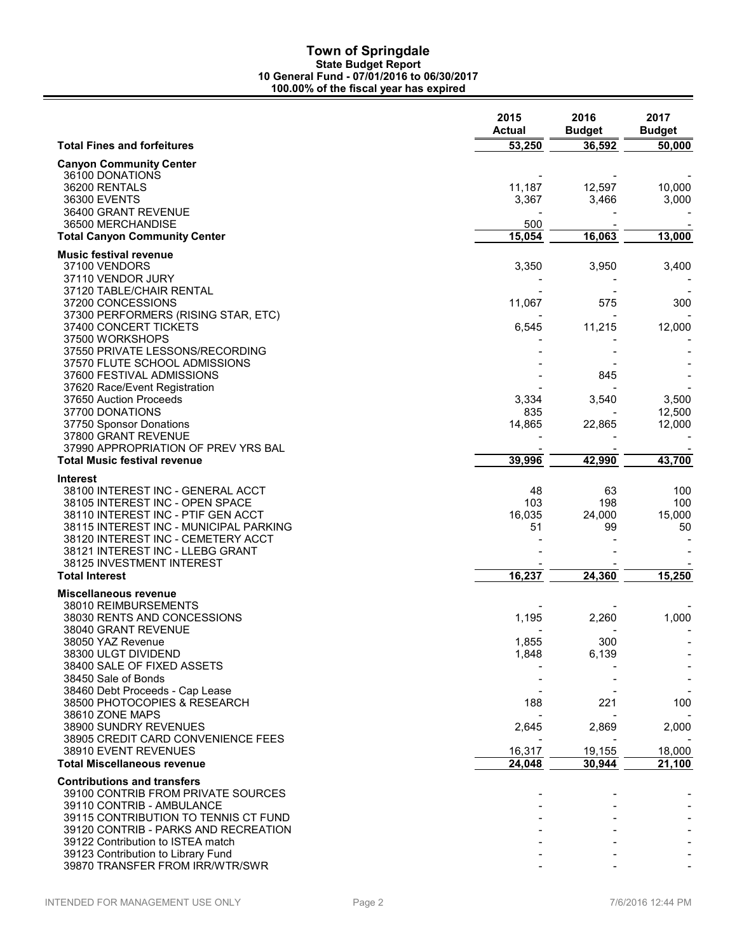|                                                                           | 2015<br><b>Actual</b> | 2016<br><b>Budget</b> | 2017<br><b>Budget</b> |
|---------------------------------------------------------------------------|-----------------------|-----------------------|-----------------------|
| <b>Total Fines and forfeitures</b>                                        | 53,250                | 36,592                | 50,000                |
| <b>Canyon Community Center</b>                                            |                       |                       |                       |
| 36100 DONATIONS                                                           |                       |                       |                       |
| 36200 RENTALS                                                             | 11,187                | 12,597                | 10,000                |
| 36300 EVENTS<br>36400 GRANT REVENUE                                       | 3,367                 | 3,466                 | 3,000                 |
| 36500 MERCHANDISE                                                         | 500                   |                       |                       |
| <b>Total Canyon Community Center</b>                                      | 15,054                | 16,063                | 13,000                |
| <b>Music festival revenue</b>                                             |                       |                       |                       |
| 37100 VENDORS                                                             | 3,350                 | 3,950                 | 3,400                 |
| 37110 VENDOR JURY                                                         |                       |                       |                       |
| 37120 TABLE/CHAIR RENTAL                                                  |                       |                       |                       |
| 37200 CONCESSIONS                                                         | 11,067                | 575                   | 300                   |
| 37300 PERFORMERS (RISING STAR, ETC)                                       |                       |                       |                       |
| 37400 CONCERT TICKETS                                                     | 6,545                 | 11,215                | 12,000                |
| 37500 WORKSHOPS<br>37550 PRIVATE LESSONS/RECORDING                        |                       |                       |                       |
| 37570 FLUTE SCHOOL ADMISSIONS                                             |                       |                       |                       |
| 37600 FESTIVAL ADMISSIONS                                                 |                       | 845                   |                       |
| 37620 Race/Event Registration                                             |                       |                       |                       |
| 37650 Auction Proceeds                                                    | 3,334                 | 3,540                 | 3,500                 |
| 37700 DONATIONS                                                           | 835                   |                       | 12,500                |
| 37750 Sponsor Donations                                                   | 14,865                | 22,865                | 12,000                |
| 37800 GRANT REVENUE<br>37990 APPROPRIATION OF PREV YRS BAL                |                       |                       |                       |
| <b>Total Music festival revenue</b>                                       | 39,996                | 42,990                | 43,700                |
|                                                                           |                       |                       |                       |
| Interest<br>38100 INTEREST INC - GENERAL ACCT                             | 48                    | 63                    | 100                   |
| 38105 INTEREST INC - OPEN SPACE                                           | 103                   | 198                   | 100                   |
| 38110 INTEREST INC - PTIF GEN ACCT                                        | 16,035                | 24,000                | 15,000                |
| 38115 INTEREST INC - MUNICIPAL PARKING                                    | 51                    | 99                    | 50                    |
| 38120 INTEREST INC - CEMETERY ACCT                                        |                       |                       |                       |
| 38121 INTEREST INC - LLEBG GRANT                                          |                       |                       |                       |
| 38125 INVESTMENT INTEREST<br><b>Total Interest</b>                        | 16,237                | 24,360                | 15,250                |
|                                                                           |                       |                       |                       |
| Miscellaneous revenue<br>38010 REIMBURSEMENTS                             |                       |                       |                       |
| 38030 RENTS AND CONCESSIONS                                               | 1,195                 | 2,260                 | 1,000                 |
| 38040 GRANT REVENUE                                                       |                       |                       |                       |
| 38050 YAZ Revenue                                                         | 1,855                 | 300                   |                       |
| 38300 ULGT DIVIDEND                                                       | 1,848                 | 6,139                 |                       |
| 38400 SALE OF FIXED ASSETS                                                |                       |                       |                       |
| 38450 Sale of Bonds                                                       |                       |                       |                       |
| 38460 Debt Proceeds - Cap Lease<br>38500 PHOTOCOPIES & RESEARCH           | 188                   | 221                   | 100                   |
| 38610 ZONE MAPS                                                           |                       |                       |                       |
| 38900 SUNDRY REVENUES                                                     | 2,645                 | 2,869                 | 2,000                 |
| 38905 CREDIT CARD CONVENIENCE FEES                                        |                       |                       |                       |
| 38910 EVENT REVENUES                                                      | 16,317                | 19,155                | 18,000                |
| <b>Total Miscellaneous revenue</b>                                        | 24,048                | 30,944                | 21,100                |
| <b>Contributions and transfers</b>                                        |                       |                       |                       |
| 39100 CONTRIB FROM PRIVATE SOURCES                                        |                       |                       |                       |
| 39110 CONTRIB - AMBULANCE                                                 |                       |                       |                       |
| 39115 CONTRIBUTION TO TENNIS CT FUND                                      |                       |                       |                       |
| 39120 CONTRIB - PARKS AND RECREATION<br>39122 Contribution to ISTEA match |                       |                       |                       |
| 39123 Contribution to Library Fund                                        |                       |                       |                       |
| 39870 TRANSFER FROM IRR/WTR/SWR                                           |                       |                       |                       |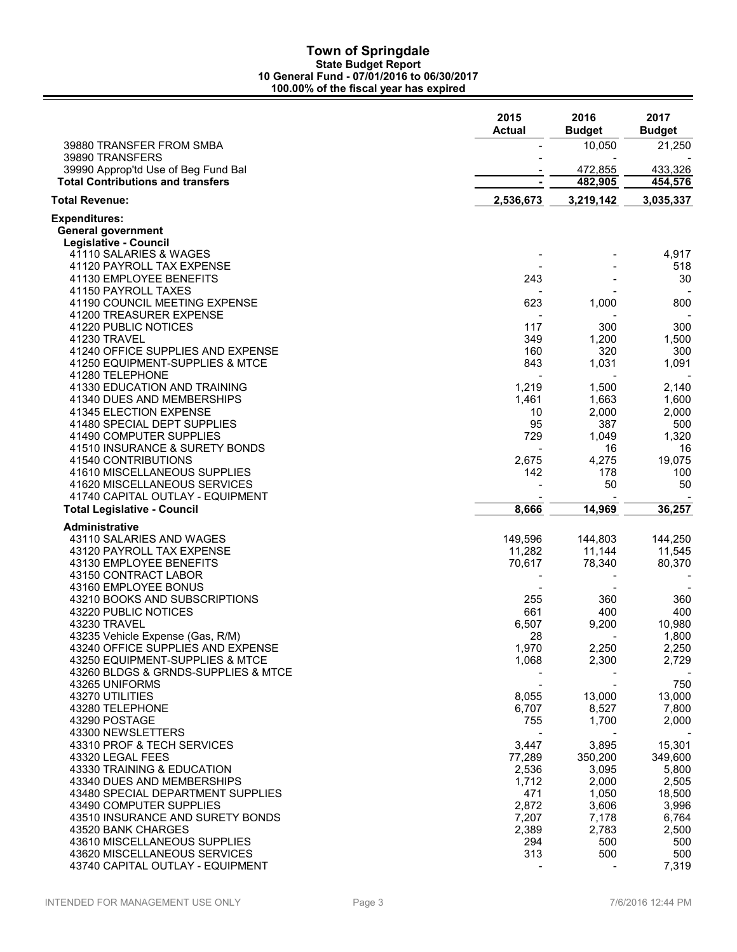|                                                                                 | 2015<br><b>Actual</b> | 2016<br><b>Budget</b> | 2017<br><b>Budget</b> |
|---------------------------------------------------------------------------------|-----------------------|-----------------------|-----------------------|
| 39880 TRANSFER FROM SMBA                                                        |                       | 10,050                | 21,250                |
| 39890 TRANSFERS                                                                 |                       |                       |                       |
| 39990 Approp'td Use of Beg Fund Bal<br><b>Total Contributions and transfers</b> |                       | 472,855<br>482,905    | 433,326<br>454,576    |
| <b>Total Revenue:</b>                                                           |                       |                       |                       |
|                                                                                 | 2,536,673             | 3,219,142             | 3,035,337             |
| Expenditures:<br><b>General government</b>                                      |                       |                       |                       |
| Legislative - Council                                                           |                       |                       |                       |
| 41110 SALARIES & WAGES                                                          |                       |                       | 4,917                 |
| 41120 PAYROLL TAX EXPENSE                                                       |                       |                       | 518                   |
| 41130 EMPLOYEE BENEFITS                                                         | 243                   |                       | 30                    |
| 41150 PAYROLL TAXES                                                             |                       |                       |                       |
| 41190 COUNCIL MEETING EXPENSE                                                   | 623                   | 1,000                 | 800                   |
| 41200 TREASURER EXPENSE<br>41220 PUBLIC NOTICES                                 | 117                   | 300                   | 300                   |
| 41230 TRAVEL                                                                    | 349                   | 1,200                 | 1,500                 |
| 41240 OFFICE SUPPLIES AND EXPENSE                                               | 160                   | 320                   | 300                   |
| 41250 EQUIPMENT-SUPPLIES & MTCE                                                 | 843                   | 1,031                 | 1,091                 |
| 41280 TELEPHONE                                                                 |                       |                       |                       |
| 41330 EDUCATION AND TRAINING                                                    | 1,219                 | 1,500                 | 2,140                 |
| 41340 DUES AND MEMBERSHIPS                                                      | 1,461                 | 1,663                 | 1,600                 |
| 41345 ELECTION EXPENSE                                                          | 10                    | 2,000                 | 2,000                 |
| 41480 SPECIAL DEPT SUPPLIES                                                     | 95                    | 387                   | 500                   |
| 41490 COMPUTER SUPPLIES<br>41510 INSURANCE & SURETY BONDS                       | 729                   | 1,049<br>16           | 1,320<br>16           |
| 41540 CONTRIBUTIONS                                                             | 2,675                 | 4,275                 | 19,075                |
| 41610 MISCELLANEOUS SUPPLIES                                                    | 142                   | 178                   | 100                   |
| 41620 MISCELLANEOUS SERVICES                                                    |                       | 50                    | 50                    |
| 41740 CAPITAL OUTLAY - EQUIPMENT                                                |                       |                       |                       |
| <b>Total Legislative - Council</b>                                              | 8,666                 | 14,969                | 36,257                |
| <b>Administrative</b>                                                           |                       |                       |                       |
| 43110 SALARIES AND WAGES                                                        | 149,596               | 144,803               | 144,250               |
| 43120 PAYROLL TAX EXPENSE                                                       | 11,282                | 11,144                | 11,545                |
| 43130 EMPLOYEE BENEFITS<br>43150 CONTRACT LABOR                                 | 70,617                | 78,340                | 80,370                |
| 43160 EMPLOYEE BONUS                                                            |                       |                       |                       |
| 43210 BOOKS AND SUBSCRIPTIONS                                                   | 255                   | 360                   | 360                   |
| 43220 PUBLIC NOTICES                                                            | 661                   | 400                   | 400                   |
| 43230 TRAVEL                                                                    | 6,507                 | 9,200                 | 10,980                |
| 43235 Vehicle Expense (Gas, R/M)                                                | 28                    |                       | 1,800                 |
| 43240 OFFICE SUPPLIES AND EXPENSE                                               | 1,970                 | 2,250                 | 2,250                 |
| 43250 EQUIPMENT-SUPPLIES & MTCE                                                 | 1,068                 | 2,300                 | 2,729                 |
| 43260 BLDGS & GRNDS-SUPPLIES & MTCE<br>43265 UNIFORMS                           |                       |                       |                       |
| 43270 UTILITIES                                                                 | 8,055                 | 13,000                | 750<br>13,000         |
| 43280 TELEPHONE                                                                 | 6,707                 | 8,527                 | 7,800                 |
| 43290 POSTAGE                                                                   | 755                   | 1,700                 | 2,000                 |
| 43300 NEWSLETTERS                                                               |                       |                       |                       |
| 43310 PROF & TECH SERVICES                                                      | 3,447                 | 3,895                 | 15,301                |
| 43320 LEGAL FEES                                                                | 77,289                | 350,200               | 349,600               |
| 43330 TRAINING & EDUCATION                                                      | 2,536                 | 3,095                 | 5,800                 |
| 43340 DUES AND MEMBERSHIPS                                                      | 1,712                 | 2,000                 | 2,505                 |
| 43480 SPECIAL DEPARTMENT SUPPLIES                                               | 471                   | 1,050                 | 18,500                |
| 43490 COMPUTER SUPPLIES<br>43510 INSURANCE AND SURETY BONDS                     | 2,872<br>7,207        | 3,606<br>7,178        | 3,996<br>6,764        |
| 43520 BANK CHARGES                                                              | 2,389                 | 2,783                 | 2,500                 |
| 43610 MISCELLANEOUS SUPPLIES                                                    | 294                   | 500                   | 500                   |
| 43620 MISCELLANEOUS SERVICES                                                    | 313                   | 500                   | 500                   |
| 43740 CAPITAL OUTLAY - EQUIPMENT                                                |                       |                       | 7,319                 |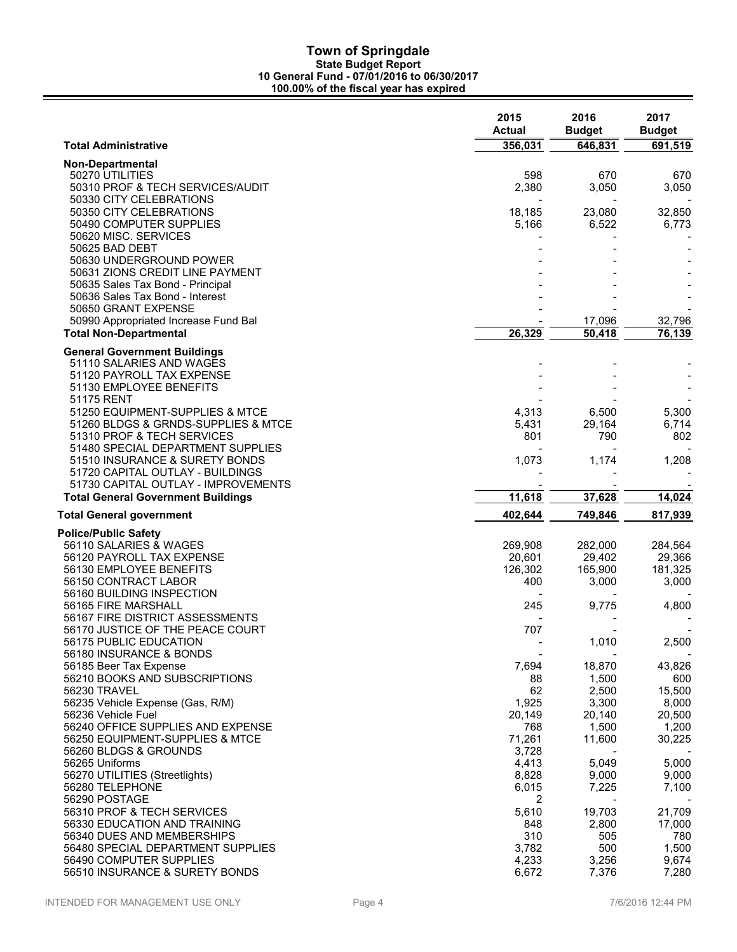| <b>Total Administrative</b><br>356,031<br>646,831<br>691,519<br><b>Non-Departmental</b><br>598<br>670<br>50270 UTILITIES<br>670<br>2,380<br>3,050<br>50310 PROF & TECH SERVICES/AUDIT<br>3,050<br>50330 CITY CELEBRATIONS<br>50350 CITY CELEBRATIONS<br>18,185<br>23,080<br>32,850<br>50490 COMPUTER SUPPLIES<br>5,166<br>6,522<br>6,773<br>50620 MISC. SERVICES<br>50625 BAD DEBT<br>50630 UNDERGROUND POWER<br>50631 ZIONS CREDIT LINE PAYMENT<br>50635 Sales Tax Bond - Principal<br>50636 Sales Tax Bond - Interest<br>50650 GRANT EXPENSE<br>50990 Appropriated Increase Fund Bal<br>17,096<br>32,796<br>26,329<br>50,418<br>76,139<br><b>Total Non-Departmental</b><br><b>General Government Buildings</b><br>51110 SALARIES AND WAGES<br>51120 PAYROLL TAX EXPENSE<br>51130 EMPLOYEE BENEFITS<br>51175 RENT<br>51250 EQUIPMENT-SUPPLIES & MTCE<br>4,313<br>6,500<br>5,300<br>29,164<br>6,714<br>51260 BLDGS & GRNDS-SUPPLIES & MTCE<br>5,431<br>801<br>790<br>802<br>51310 PROF & TECH SERVICES<br>51480 SPECIAL DEPARTMENT SUPPLIES<br>1,174<br>51510 INSURANCE & SURETY BONDS<br>1,073<br>1,208<br>51720 CAPITAL OUTLAY - BUILDINGS<br>51730 CAPITAL OUTLAY - IMPROVEMENTS<br>11,618<br>37,628<br><b>Total General Government Buildings</b><br>14,024<br>402,644<br>749,846<br>817,939<br><b>Total General government</b> |
|------------------------------------------------------------------------------------------------------------------------------------------------------------------------------------------------------------------------------------------------------------------------------------------------------------------------------------------------------------------------------------------------------------------------------------------------------------------------------------------------------------------------------------------------------------------------------------------------------------------------------------------------------------------------------------------------------------------------------------------------------------------------------------------------------------------------------------------------------------------------------------------------------------------------------------------------------------------------------------------------------------------------------------------------------------------------------------------------------------------------------------------------------------------------------------------------------------------------------------------------------------------------------------------------------------------------------------|
|                                                                                                                                                                                                                                                                                                                                                                                                                                                                                                                                                                                                                                                                                                                                                                                                                                                                                                                                                                                                                                                                                                                                                                                                                                                                                                                                    |
|                                                                                                                                                                                                                                                                                                                                                                                                                                                                                                                                                                                                                                                                                                                                                                                                                                                                                                                                                                                                                                                                                                                                                                                                                                                                                                                                    |
|                                                                                                                                                                                                                                                                                                                                                                                                                                                                                                                                                                                                                                                                                                                                                                                                                                                                                                                                                                                                                                                                                                                                                                                                                                                                                                                                    |
|                                                                                                                                                                                                                                                                                                                                                                                                                                                                                                                                                                                                                                                                                                                                                                                                                                                                                                                                                                                                                                                                                                                                                                                                                                                                                                                                    |
|                                                                                                                                                                                                                                                                                                                                                                                                                                                                                                                                                                                                                                                                                                                                                                                                                                                                                                                                                                                                                                                                                                                                                                                                                                                                                                                                    |
|                                                                                                                                                                                                                                                                                                                                                                                                                                                                                                                                                                                                                                                                                                                                                                                                                                                                                                                                                                                                                                                                                                                                                                                                                                                                                                                                    |
|                                                                                                                                                                                                                                                                                                                                                                                                                                                                                                                                                                                                                                                                                                                                                                                                                                                                                                                                                                                                                                                                                                                                                                                                                                                                                                                                    |
|                                                                                                                                                                                                                                                                                                                                                                                                                                                                                                                                                                                                                                                                                                                                                                                                                                                                                                                                                                                                                                                                                                                                                                                                                                                                                                                                    |
|                                                                                                                                                                                                                                                                                                                                                                                                                                                                                                                                                                                                                                                                                                                                                                                                                                                                                                                                                                                                                                                                                                                                                                                                                                                                                                                                    |
|                                                                                                                                                                                                                                                                                                                                                                                                                                                                                                                                                                                                                                                                                                                                                                                                                                                                                                                                                                                                                                                                                                                                                                                                                                                                                                                                    |
|                                                                                                                                                                                                                                                                                                                                                                                                                                                                                                                                                                                                                                                                                                                                                                                                                                                                                                                                                                                                                                                                                                                                                                                                                                                                                                                                    |
|                                                                                                                                                                                                                                                                                                                                                                                                                                                                                                                                                                                                                                                                                                                                                                                                                                                                                                                                                                                                                                                                                                                                                                                                                                                                                                                                    |
|                                                                                                                                                                                                                                                                                                                                                                                                                                                                                                                                                                                                                                                                                                                                                                                                                                                                                                                                                                                                                                                                                                                                                                                                                                                                                                                                    |
|                                                                                                                                                                                                                                                                                                                                                                                                                                                                                                                                                                                                                                                                                                                                                                                                                                                                                                                                                                                                                                                                                                                                                                                                                                                                                                                                    |
|                                                                                                                                                                                                                                                                                                                                                                                                                                                                                                                                                                                                                                                                                                                                                                                                                                                                                                                                                                                                                                                                                                                                                                                                                                                                                                                                    |
|                                                                                                                                                                                                                                                                                                                                                                                                                                                                                                                                                                                                                                                                                                                                                                                                                                                                                                                                                                                                                                                                                                                                                                                                                                                                                                                                    |
|                                                                                                                                                                                                                                                                                                                                                                                                                                                                                                                                                                                                                                                                                                                                                                                                                                                                                                                                                                                                                                                                                                                                                                                                                                                                                                                                    |
|                                                                                                                                                                                                                                                                                                                                                                                                                                                                                                                                                                                                                                                                                                                                                                                                                                                                                                                                                                                                                                                                                                                                                                                                                                                                                                                                    |
|                                                                                                                                                                                                                                                                                                                                                                                                                                                                                                                                                                                                                                                                                                                                                                                                                                                                                                                                                                                                                                                                                                                                                                                                                                                                                                                                    |
|                                                                                                                                                                                                                                                                                                                                                                                                                                                                                                                                                                                                                                                                                                                                                                                                                                                                                                                                                                                                                                                                                                                                                                                                                                                                                                                                    |
|                                                                                                                                                                                                                                                                                                                                                                                                                                                                                                                                                                                                                                                                                                                                                                                                                                                                                                                                                                                                                                                                                                                                                                                                                                                                                                                                    |
|                                                                                                                                                                                                                                                                                                                                                                                                                                                                                                                                                                                                                                                                                                                                                                                                                                                                                                                                                                                                                                                                                                                                                                                                                                                                                                                                    |
|                                                                                                                                                                                                                                                                                                                                                                                                                                                                                                                                                                                                                                                                                                                                                                                                                                                                                                                                                                                                                                                                                                                                                                                                                                                                                                                                    |
|                                                                                                                                                                                                                                                                                                                                                                                                                                                                                                                                                                                                                                                                                                                                                                                                                                                                                                                                                                                                                                                                                                                                                                                                                                                                                                                                    |
| <b>Police/Public Safety</b>                                                                                                                                                                                                                                                                                                                                                                                                                                                                                                                                                                                                                                                                                                                                                                                                                                                                                                                                                                                                                                                                                                                                                                                                                                                                                                        |
| 56110 SALARIES & WAGES<br>269,908<br>282,000<br>284,564<br>29,402<br>56120 PAYROLL TAX EXPENSE<br>20,601                                                                                                                                                                                                                                                                                                                                                                                                                                                                                                                                                                                                                                                                                                                                                                                                                                                                                                                                                                                                                                                                                                                                                                                                                           |
| 29,366<br>56130 EMPLOYEE BENEFITS<br>126,302<br>165,900<br>181,325                                                                                                                                                                                                                                                                                                                                                                                                                                                                                                                                                                                                                                                                                                                                                                                                                                                                                                                                                                                                                                                                                                                                                                                                                                                                 |
| 56150 CONTRACT LABOR<br>400<br>3,000<br>3,000                                                                                                                                                                                                                                                                                                                                                                                                                                                                                                                                                                                                                                                                                                                                                                                                                                                                                                                                                                                                                                                                                                                                                                                                                                                                                      |
| 56160 BUILDING INSPECTION                                                                                                                                                                                                                                                                                                                                                                                                                                                                                                                                                                                                                                                                                                                                                                                                                                                                                                                                                                                                                                                                                                                                                                                                                                                                                                          |
| 9,775<br>56165 FIRE MARSHALL<br>245<br>4,800<br>56167 FIRE DISTRICT ASSESSMENTS                                                                                                                                                                                                                                                                                                                                                                                                                                                                                                                                                                                                                                                                                                                                                                                                                                                                                                                                                                                                                                                                                                                                                                                                                                                    |
| 707<br>56170 JUSTICE OF THE PEACE COURT                                                                                                                                                                                                                                                                                                                                                                                                                                                                                                                                                                                                                                                                                                                                                                                                                                                                                                                                                                                                                                                                                                                                                                                                                                                                                            |
| 1,010<br>2,500<br>56175 PUBLIC EDUCATION                                                                                                                                                                                                                                                                                                                                                                                                                                                                                                                                                                                                                                                                                                                                                                                                                                                                                                                                                                                                                                                                                                                                                                                                                                                                                           |
| 56180 INSURANCE & BONDS<br>56185 Beer Tax Expense<br>7,694<br>18,870<br>43,826                                                                                                                                                                                                                                                                                                                                                                                                                                                                                                                                                                                                                                                                                                                                                                                                                                                                                                                                                                                                                                                                                                                                                                                                                                                     |
| 56210 BOOKS AND SUBSCRIPTIONS<br>1,500<br>88<br>600                                                                                                                                                                                                                                                                                                                                                                                                                                                                                                                                                                                                                                                                                                                                                                                                                                                                                                                                                                                                                                                                                                                                                                                                                                                                                |
| 62<br>56230 TRAVEL<br>2,500<br>15,500                                                                                                                                                                                                                                                                                                                                                                                                                                                                                                                                                                                                                                                                                                                                                                                                                                                                                                                                                                                                                                                                                                                                                                                                                                                                                              |
| 56235 Vehicle Expense (Gas, R/M)<br>1,925<br>3,300<br>8,000<br>56236 Vehicle Fuel<br>20,500<br>20,149<br>20,140                                                                                                                                                                                                                                                                                                                                                                                                                                                                                                                                                                                                                                                                                                                                                                                                                                                                                                                                                                                                                                                                                                                                                                                                                    |
| 56240 OFFICE SUPPLIES AND EXPENSE<br>768<br>1,200<br>1,500                                                                                                                                                                                                                                                                                                                                                                                                                                                                                                                                                                                                                                                                                                                                                                                                                                                                                                                                                                                                                                                                                                                                                                                                                                                                         |
| 71,261<br>11,600<br>56250 EQUIPMENT-SUPPLIES & MTCE<br>30,225                                                                                                                                                                                                                                                                                                                                                                                                                                                                                                                                                                                                                                                                                                                                                                                                                                                                                                                                                                                                                                                                                                                                                                                                                                                                      |
| 56260 BLDGS & GROUNDS<br>3,728<br>56265 Uniforms                                                                                                                                                                                                                                                                                                                                                                                                                                                                                                                                                                                                                                                                                                                                                                                                                                                                                                                                                                                                                                                                                                                                                                                                                                                                                   |
| 4,413<br>5,049<br>5,000<br>56270 UTILITIES (Streetlights)<br>8,828<br>9,000<br>9,000                                                                                                                                                                                                                                                                                                                                                                                                                                                                                                                                                                                                                                                                                                                                                                                                                                                                                                                                                                                                                                                                                                                                                                                                                                               |
| 56280 TELEPHONE<br>6,015<br>7,225<br>7,100                                                                                                                                                                                                                                                                                                                                                                                                                                                                                                                                                                                                                                                                                                                                                                                                                                                                                                                                                                                                                                                                                                                                                                                                                                                                                         |
| 56290 POSTAGE<br>2                                                                                                                                                                                                                                                                                                                                                                                                                                                                                                                                                                                                                                                                                                                                                                                                                                                                                                                                                                                                                                                                                                                                                                                                                                                                                                                 |
| 21,709<br>56310 PROF & TECH SERVICES<br>5,610<br>19,703<br>56330 EDUCATION AND TRAINING<br>2,800<br>17,000<br>848                                                                                                                                                                                                                                                                                                                                                                                                                                                                                                                                                                                                                                                                                                                                                                                                                                                                                                                                                                                                                                                                                                                                                                                                                  |
| 56340 DUES AND MEMBERSHIPS<br>310<br>505<br>780                                                                                                                                                                                                                                                                                                                                                                                                                                                                                                                                                                                                                                                                                                                                                                                                                                                                                                                                                                                                                                                                                                                                                                                                                                                                                    |
| 56480 SPECIAL DEPARTMENT SUPPLIES<br>3,782<br>500<br>1,500                                                                                                                                                                                                                                                                                                                                                                                                                                                                                                                                                                                                                                                                                                                                                                                                                                                                                                                                                                                                                                                                                                                                                                                                                                                                         |
| 56490 COMPUTER SUPPLIES<br>4,233<br>3,256<br>9,674<br>56510 INSURANCE & SURETY BONDS<br>6,672<br>7,376<br>7,280                                                                                                                                                                                                                                                                                                                                                                                                                                                                                                                                                                                                                                                                                                                                                                                                                                                                                                                                                                                                                                                                                                                                                                                                                    |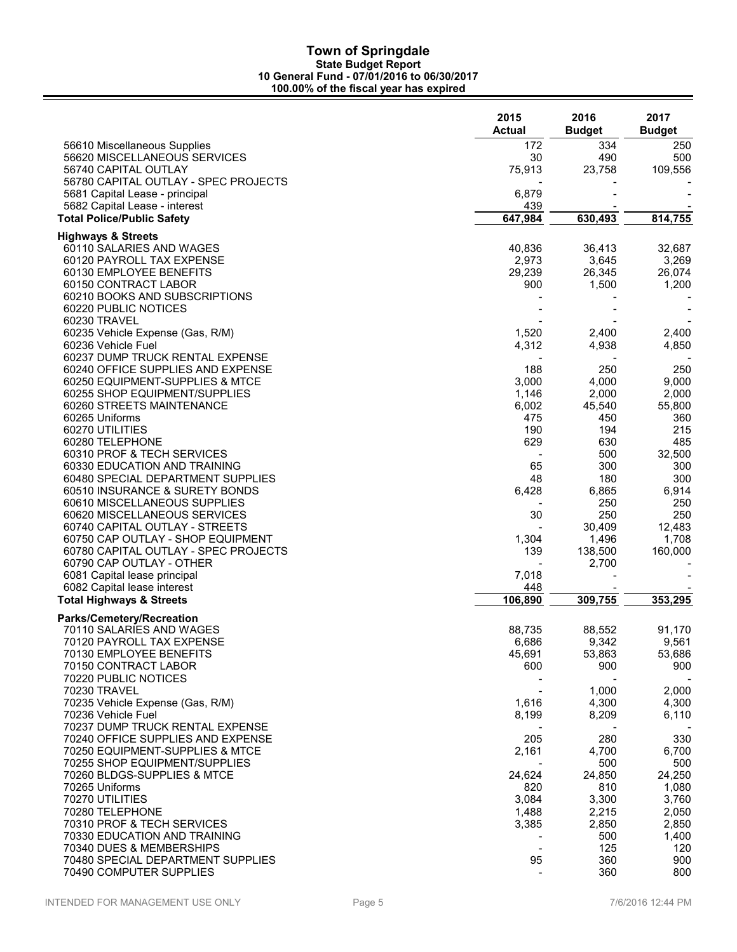|                                                                     | 2015<br><b>Actual</b>    | 2016<br><b>Budget</b> | 2017<br><b>Budget</b> |
|---------------------------------------------------------------------|--------------------------|-----------------------|-----------------------|
| 56610 Miscellaneous Supplies                                        | 172                      | 334                   | 250                   |
| 56620 MISCELLANEOUS SERVICES                                        | 30                       | 490                   | 500                   |
| 56740 CAPITAL OUTLAY                                                | 75,913                   | 23,758                | 109,556               |
| 56780 CAPITAL OUTLAY - SPEC PROJECTS                                |                          |                       |                       |
| 5681 Capital Lease - principal<br>5682 Capital Lease - interest     | 6,879<br>439             |                       |                       |
| <b>Total Police/Public Safety</b>                                   | 647,984                  | 630,493               | 814,755               |
|                                                                     |                          |                       |                       |
| <b>Highways &amp; Streets</b><br>60110 SALARIES AND WAGES           | 40,836                   | 36,413                | 32,687                |
| 60120 PAYROLL TAX EXPENSE                                           | 2,973                    | 3,645                 | 3,269                 |
| 60130 EMPLOYEE BENEFITS                                             | 29,239                   | 26,345                | 26,074                |
| 60150 CONTRACT LABOR                                                | 900                      | 1,500                 | 1,200                 |
| 60210 BOOKS AND SUBSCRIPTIONS                                       |                          |                       |                       |
| 60220 PUBLIC NOTICES                                                |                          |                       |                       |
| 60230 TRAVEL                                                        |                          |                       |                       |
| 60235 Vehicle Expense (Gas, R/M)                                    | 1,520                    | 2,400                 | 2,400                 |
| 60236 Vehicle Fuel                                                  | 4,312                    | 4,938                 | 4,850                 |
| 60237 DUMP TRUCK RENTAL EXPENSE                                     |                          |                       |                       |
| 60240 OFFICE SUPPLIES AND EXPENSE                                   | 188                      | 250                   | 250                   |
| 60250 EQUIPMENT-SUPPLIES & MTCE<br>60255 SHOP EQUIPMENT/SUPPLIES    | 3,000<br>1,146           | 4,000<br>2,000        | 9,000<br>2,000        |
| 60260 STREETS MAINTENANCE                                           | 6,002                    | 45,540                | 55,800                |
| 60265 Uniforms                                                      | 475                      | 450                   | 360                   |
| 60270 UTILITIES                                                     | 190                      | 194                   | 215                   |
| 60280 TELEPHONE                                                     | 629                      | 630                   | 485                   |
| 60310 PROF & TECH SERVICES                                          |                          | 500                   | 32,500                |
| 60330 EDUCATION AND TRAINING                                        | 65                       | 300                   | 300                   |
| 60480 SPECIAL DEPARTMENT SUPPLIES                                   | 48                       | 180                   | 300                   |
| 60510 INSURANCE & SURETY BONDS                                      | 6,428                    | 6,865                 | 6,914                 |
| 60610 MISCELLANEOUS SUPPLIES                                        |                          | 250                   | 250                   |
| 60620 MISCELLANEOUS SERVICES                                        | 30                       | 250                   | 250                   |
| 60740 CAPITAL OUTLAY - STREETS<br>60750 CAP OUTLAY - SHOP EQUIPMENT | 1,304                    | 30,409<br>1,496       | 12,483<br>1,708       |
| 60780 CAPITAL OUTLAY - SPEC PROJECTS                                | 139                      | 138,500               | 160,000               |
| 60790 CAP OUTLAY - OTHER                                            |                          | 2,700                 |                       |
| 6081 Capital lease principal                                        | 7,018                    |                       |                       |
| 6082 Capital lease interest                                         | 448                      |                       |                       |
| <b>Total Highways &amp; Streets</b>                                 | 106,890                  | 309,755               | 353,295               |
| Parks/Cemetery/Recreation                                           |                          |                       |                       |
| 70110 SALARIES AND WAGES                                            | 88,735                   | 88,552                | 91,170                |
| 70120 PAYROLL TAX EXPENSE                                           | 6,686                    | 9,342                 | 9,561                 |
| 70130 EMPLOYEE BENEFITS                                             | 45,691                   | 53,863                | 53,686                |
| 70150 CONTRACT LABOR                                                | 600                      | 900                   | 900                   |
| 70220 PUBLIC NOTICES                                                |                          |                       |                       |
| 70230 TRAVEL<br>70235 Vehicle Expense (Gas, R/M)                    |                          | 1,000                 | 2,000                 |
| 70236 Vehicle Fuel                                                  | 1,616<br>8,199           | 4,300<br>8,209        | 4,300<br>6,110        |
| 70237 DUMP TRUCK RENTAL EXPENSE                                     |                          |                       |                       |
| 70240 OFFICE SUPPLIES AND EXPENSE                                   | 205                      | 280                   | 330                   |
| 70250 EQUIPMENT-SUPPLIES & MTCE                                     | 2,161                    | 4,700                 | 6,700                 |
| 70255 SHOP EQUIPMENT/SUPPLIES                                       |                          | 500                   | 500                   |
| 70260 BLDGS-SUPPLIES & MTCE                                         | 24,624                   | 24,850                | 24,250                |
| 70265 Uniforms                                                      | 820                      | 810                   | 1,080                 |
| 70270 UTILITIES                                                     | 3,084                    | 3,300                 | 3,760                 |
| 70280 TELEPHONE                                                     | 1,488                    | 2,215                 | 2,050                 |
| 70310 PROF & TECH SERVICES                                          | 3,385                    | 2,850                 | 2,850                 |
| 70330 EDUCATION AND TRAINING<br>70340 DUES & MEMBERSHIPS            | $\overline{\phantom{a}}$ | 500<br>125            | 1,400<br>120          |
| 70480 SPECIAL DEPARTMENT SUPPLIES                                   | 95                       | 360                   | 900                   |
| 70490 COMPUTER SUPPLIES                                             |                          | 360                   | 800                   |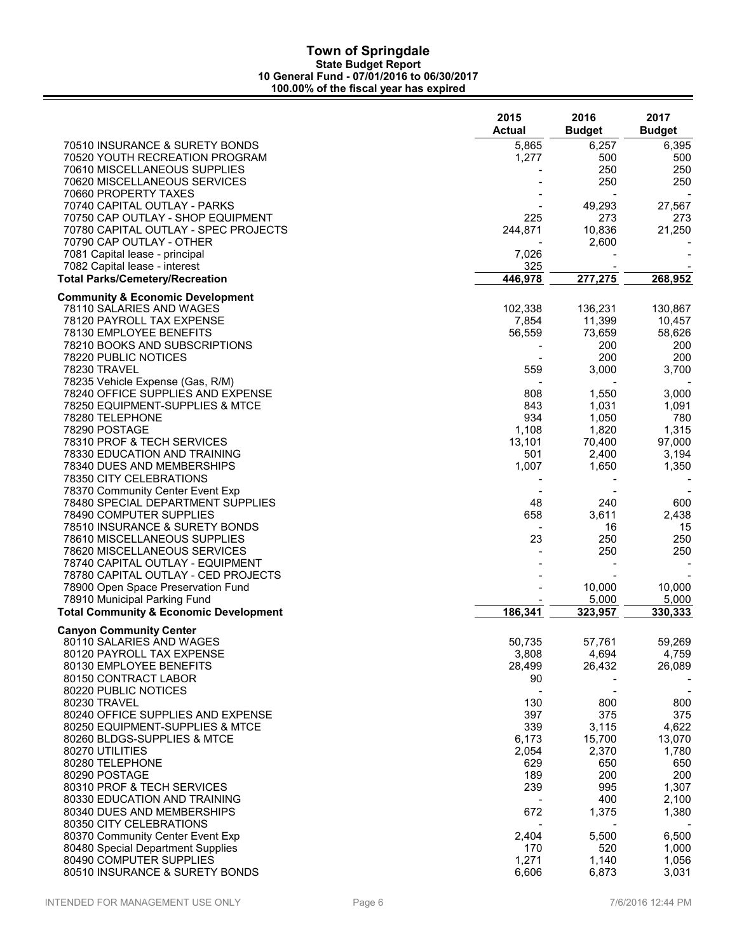|                                                           | 2015<br><b>Actual</b> | 2016<br><b>Budget</b> | 2017<br><b>Budget</b>    |
|-----------------------------------------------------------|-----------------------|-----------------------|--------------------------|
| 70510 INSURANCE & SURETY BONDS                            | 5,865                 | 6,257                 | 6,395                    |
| 70520 YOUTH RECREATION PROGRAM                            | 1,277                 | 500                   | 500                      |
| 70610 MISCELLANEOUS SUPPLIES                              |                       | 250                   | 250                      |
| 70620 MISCELLANEOUS SERVICES<br>70660 PROPERTY TAXES      |                       | 250                   | 250                      |
| 70740 CAPITAL OUTLAY - PARKS                              |                       | 49,293                | 27,567                   |
| 70750 CAP OUTLAY - SHOP EQUIPMENT                         | 225                   | 273                   | 273                      |
| 70780 CAPITAL OUTLAY - SPEC PROJECTS                      | 244,871               | 10,836                | 21,250                   |
| 70790 CAP OUTLAY - OTHER                                  |                       | 2,600                 |                          |
| 7081 Capital lease - principal                            | 7,026                 |                       |                          |
| 7082 Capital lease - interest                             | 325                   |                       |                          |
| <b>Total Parks/Cemetery/Recreation</b>                    | 446,978               | 277,275               | 268,952                  |
| <b>Community &amp; Economic Development</b>               |                       |                       |                          |
| 78110 SALARIES AND WAGES                                  | 102,338               | 136,231               | 130,867                  |
| 78120 PAYROLL TAX EXPENSE                                 | 7,854                 | 11,399                | 10,457                   |
| 78130 EMPLOYEE BENEFITS<br>78210 BOOKS AND SUBSCRIPTIONS  | 56,559                | 73,659<br>200         | 58,626<br>200            |
| 78220 PUBLIC NOTICES                                      |                       | 200                   | 200                      |
| <b>78230 TRAVEL</b>                                       | 559                   | 3,000                 | 3,700                    |
| 78235 Vehicle Expense (Gas, R/M)                          |                       |                       |                          |
| 78240 OFFICE SUPPLIES AND EXPENSE                         | 808                   | 1,550                 | 3,000                    |
| 78250 EQUIPMENT-SUPPLIES & MTCE                           | 843                   | 1,031                 | 1,091                    |
| 78280 TELEPHONE                                           | 934                   | 1,050                 | 780                      |
| 78290 POSTAGE                                             | 1,108                 | 1,820                 | 1,315                    |
| 78310 PROF & TECH SERVICES                                | 13,101                | 70,400                | 97,000                   |
| 78330 EDUCATION AND TRAINING                              | 501                   | 2,400                 | 3,194                    |
| 78340 DUES AND MEMBERSHIPS                                | 1,007                 | 1,650                 | 1,350                    |
| 78350 CITY CELEBRATIONS                                   |                       |                       |                          |
| 78370 Community Center Event Exp                          |                       |                       |                          |
| 78480 SPECIAL DEPARTMENT SUPPLIES                         | 48<br>658             | 240<br>3,611          | 600<br>2,438             |
| 78490 COMPUTER SUPPLIES<br>78510 INSURANCE & SURETY BONDS |                       | 16                    | 15                       |
| 78610 MISCELLANEOUS SUPPLIES                              | 23                    | 250                   | 250                      |
| 78620 MISCELLANEOUS SERVICES                              |                       | 250                   | 250                      |
| 78740 CAPITAL OUTLAY - EQUIPMENT                          |                       |                       |                          |
| 78780 CAPITAL OUTLAY - CED PROJECTS                       |                       |                       |                          |
| 78900 Open Space Preservation Fund                        |                       | 10,000                | 10,000                   |
| 78910 Municipal Parking Fund                              |                       | 5,000                 | 5,000                    |
| <b>Total Community &amp; Economic Development</b>         | 186,341               | 323,957               | 330,333                  |
| <b>Canyon Community Center</b>                            |                       |                       |                          |
| 80110 SALARIES AND WAGES                                  | 50,735                | 57,761                | 59,269                   |
| 80120 PAYROLL TAX EXPENSE                                 | 3,808                 | 4,694                 | 4,759                    |
| 80130 EMPLOYEE BENEFITS<br>80150 CONTRACT LABOR           | 28,499<br>90          | 26,432                | 26,089                   |
| 80220 PUBLIC NOTICES                                      |                       |                       | $\overline{\phantom{a}}$ |
| 80230 TRAVEL                                              | 130                   | 800                   | 800                      |
| 80240 OFFICE SUPPLIES AND EXPENSE                         | 397                   | 375                   | 375                      |
| 80250 EQUIPMENT-SUPPLIES & MTCE                           | 339                   | 3,115                 | 4,622                    |
| 80260 BLDGS-SUPPLIES & MTCE                               | 6,173                 | 15,700                | 13,070                   |
| 80270 UTILITIES                                           | 2,054                 | 2,370                 | 1,780                    |
| 80280 TELEPHONE                                           | 629                   | 650                   | 650                      |
| 80290 POSTAGE                                             | 189                   | 200                   | 200                      |
| 80310 PROF & TECH SERVICES                                | 239                   | 995                   | 1,307                    |
| 80330 EDUCATION AND TRAINING                              |                       | 400                   | 2,100                    |
| 80340 DUES AND MEMBERSHIPS<br>80350 CITY CELEBRATIONS     | 672                   | 1,375                 | 1,380                    |
| 80370 Community Center Event Exp                          | 2,404                 | 5,500                 | 6,500                    |
| 80480 Special Department Supplies                         | 170                   | 520                   | 1,000                    |
| 80490 COMPUTER SUPPLIES                                   | 1,271                 | 1,140                 | 1,056                    |
| 80510 INSURANCE & SURETY BONDS                            | 6,606                 | 6,873                 | 3,031                    |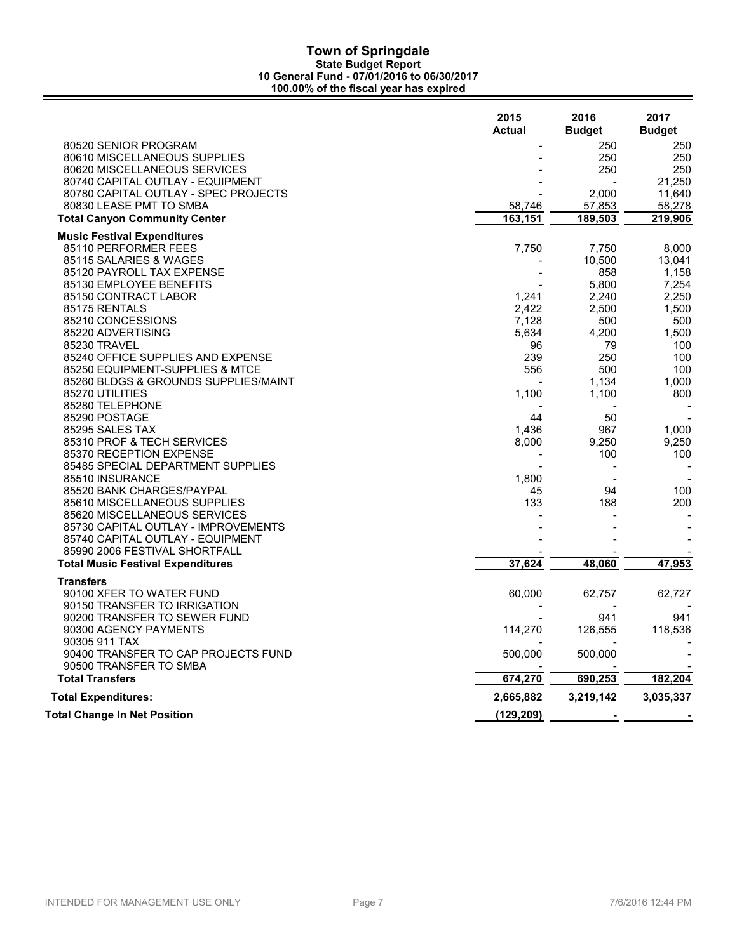|                                          | 2015<br><b>Actual</b> | 2016<br><b>Budget</b> | 2017<br><b>Budget</b> |
|------------------------------------------|-----------------------|-----------------------|-----------------------|
| 80520 SENIOR PROGRAM                     |                       | 250                   | 250                   |
| 80610 MISCELLANEOUS SUPPLIES             |                       | 250                   | 250                   |
| 80620 MISCELLANEOUS SERVICES             |                       | 250                   | 250                   |
| 80740 CAPITAL OUTLAY - EQUIPMENT         |                       |                       | 21,250                |
| 80780 CAPITAL OUTLAY - SPEC PROJECTS     |                       | 2,000                 | 11,640                |
| 80830 LEASE PMT TO SMBA                  | 58,746                | 57,853                | 58,278                |
| <b>Total Canyon Community Center</b>     | 163, 151              | 189,503               | 219,906               |
| <b>Music Festival Expenditures</b>       |                       |                       |                       |
| 85110 PERFORMER FEES                     | 7,750                 | 7,750                 | 8,000                 |
| 85115 SALARIES & WAGES                   |                       | 10,500                | 13,041                |
| 85120 PAYROLL TAX EXPENSE                |                       | 858                   | 1,158                 |
| 85130 EMPLOYEE BENEFITS                  |                       | 5,800                 | 7,254                 |
| 85150 CONTRACT LABOR                     | 1,241                 | 2,240                 | 2,250                 |
| 85175 RENTALS                            | 2,422                 | 2,500                 | 1.500                 |
| 85210 CONCESSIONS                        | 7,128                 | 500                   | 500                   |
| 85220 ADVERTISING                        | 5,634                 | 4,200                 | 1,500                 |
| 85230 TRAVEL                             | 96                    | 79                    | 100                   |
| 85240 OFFICE SUPPLIES AND EXPENSE        | 239                   | 250                   | 100                   |
| 85250 EQUIPMENT-SUPPLIES & MTCE          | 556                   | 500                   | 100                   |
| 85260 BLDGS & GROUNDS SUPPLIES/MAINT     |                       | 1,134                 | 1,000                 |
| 85270 UTILITIES                          | 1,100                 | 1,100                 | 800                   |
| 85280 TELEPHONE                          |                       |                       |                       |
| 85290 POSTAGE                            | 44                    | 50                    |                       |
| 85295 SALES TAX                          | 1,436                 | 967                   | 1,000                 |
| 85310 PROF & TECH SERVICES               | 8,000                 | 9,250                 | 9,250                 |
| 85370 RECEPTION EXPENSE                  |                       | 100                   | 100                   |
| 85485 SPECIAL DEPARTMENT SUPPLIES        |                       |                       |                       |
| 85510 INSURANCE                          | 1,800                 |                       |                       |
| 85520 BANK CHARGES/PAYPAL                | 45                    | 94                    | 100                   |
| 85610 MISCELLANEOUS SUPPLIES             | 133                   | 188                   | 200                   |
| 85620 MISCELLANEOUS SERVICES             |                       |                       |                       |
| 85730 CAPITAL OUTLAY - IMPROVEMENTS      |                       |                       |                       |
| 85740 CAPITAL OUTLAY - EQUIPMENT         |                       |                       |                       |
| 85990 2006 FESTIVAL SHORTFALL            |                       |                       |                       |
| <b>Total Music Festival Expenditures</b> | 37,624                | 48,060                | 47,953                |
| <b>Transfers</b>                         |                       |                       |                       |
| 90100 XFER TO WATER FUND                 | 60,000                | 62,757                | 62,727                |
| 90150 TRANSFER TO IRRIGATION             |                       |                       |                       |
| 90200 TRANSFER TO SEWER FUND             |                       | 941                   | 941                   |
| 90300 AGENCY PAYMENTS                    | 114,270               | 126,555               | 118,536               |
| 90305 911 TAX                            |                       |                       |                       |
| 90400 TRANSFER TO CAP PROJECTS FUND      | 500,000               | 500,000               |                       |
| 90500 TRANSFER TO SMBA                   |                       |                       |                       |
| <b>Total Transfers</b>                   | 674,270               | 690,253               | 182,204               |
| <b>Total Expenditures:</b>               | 2,665,882             | 3,219,142             | 3,035,337             |
| Total Change In Net Position             | (129, 209)            |                       |                       |
|                                          |                       |                       |                       |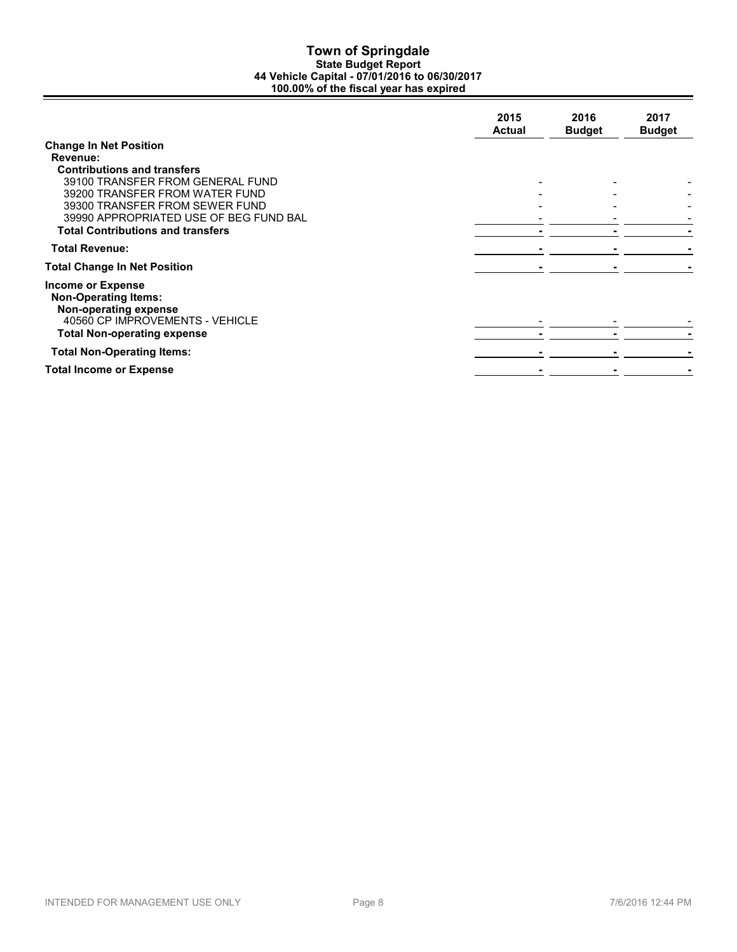|                                                                                                                                                                                                                                                                               | 2015<br><b>Actual</b> | 2016<br><b>Budget</b> | 2017<br><b>Budget</b> |
|-------------------------------------------------------------------------------------------------------------------------------------------------------------------------------------------------------------------------------------------------------------------------------|-----------------------|-----------------------|-----------------------|
| <b>Change In Net Position</b><br>Revenue:<br><b>Contributions and transfers</b><br>39100 TRANSFER FROM GENERAL FUND<br>39200 TRANSFER FROM WATER FUND<br>39300 TRANSFER FROM SEWER FUND<br>39990 APPROPRIATED USE OF BEG FUND BAL<br><b>Total Contributions and transfers</b> |                       |                       |                       |
| <b>Total Revenue:</b>                                                                                                                                                                                                                                                         |                       |                       |                       |
| <b>Total Change In Net Position</b>                                                                                                                                                                                                                                           |                       |                       |                       |
| <b>Income or Expense</b><br><b>Non-Operating Items:</b><br>Non-operating expense<br>40560 CP IMPROVEMENTS - VEHICLE<br><b>Total Non-operating expense</b>                                                                                                                     |                       |                       |                       |
| <b>Total Non-Operating Items:</b>                                                                                                                                                                                                                                             |                       |                       |                       |
| <b>Total Income or Expense</b>                                                                                                                                                                                                                                                |                       |                       |                       |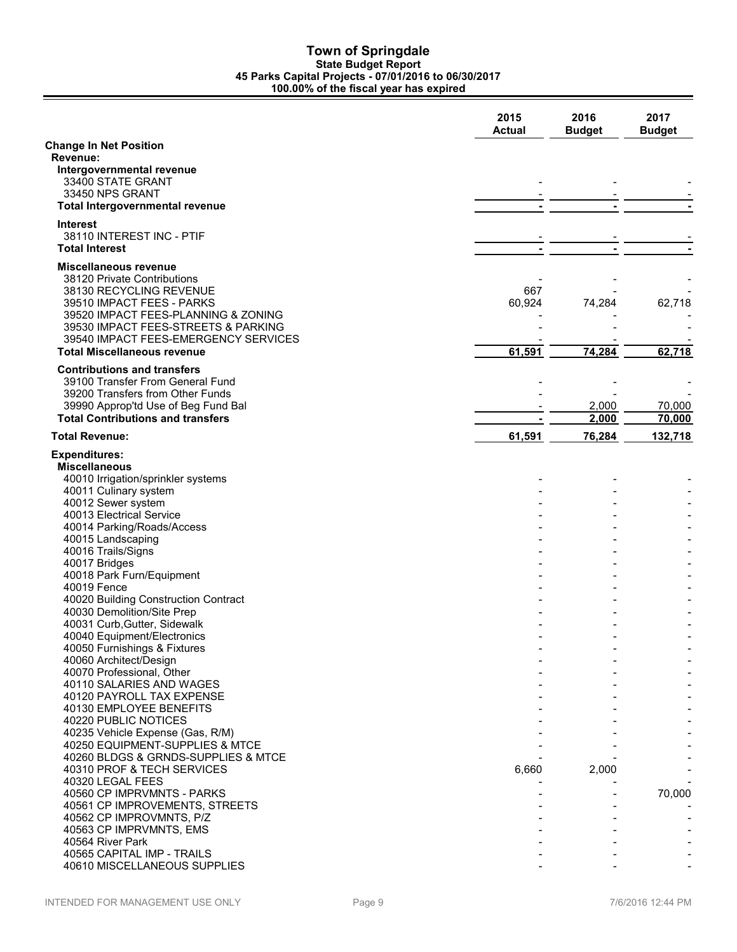### **Town of Springdale State Budget Report 45 Parks Capital Projects - 07/01/2016 to 06/30/2017 100.00% of the fiscal year has expired**

|                                                                             | 2015<br><b>Actual</b> | 2016<br><b>Budget</b> | 2017<br><b>Budget</b> |
|-----------------------------------------------------------------------------|-----------------------|-----------------------|-----------------------|
| <b>Change In Net Position</b>                                               |                       |                       |                       |
| Revenue:                                                                    |                       |                       |                       |
| Intergovernmental revenue                                                   |                       |                       |                       |
| 33400 STATE GRANT                                                           |                       |                       |                       |
| 33450 NPS GRANT                                                             |                       |                       |                       |
| Total Intergovernmental revenue                                             |                       |                       |                       |
| Interest                                                                    |                       |                       |                       |
| 38110 INTEREST INC - PTIF                                                   |                       |                       |                       |
| <b>Total Interest</b>                                                       |                       |                       |                       |
| Miscellaneous revenue                                                       |                       |                       |                       |
| 38120 Private Contributions                                                 |                       |                       |                       |
| 38130 RECYCLING REVENUE                                                     | 667                   |                       |                       |
| 39510 IMPACT FEES - PARKS                                                   | 60,924                | 74,284                | 62,718                |
| 39520 IMPACT FEES-PLANNING & ZONING                                         |                       |                       |                       |
| 39530 IMPACT FEES-STREETS & PARKING<br>39540 IMPACT FEES-EMERGENCY SERVICES |                       |                       |                       |
| <b>Total Miscellaneous revenue</b>                                          | 61,591                | 74,284                | 62,718                |
|                                                                             |                       |                       |                       |
| <b>Contributions and transfers</b>                                          |                       |                       |                       |
| 39100 Transfer From General Fund                                            |                       |                       |                       |
| 39200 Transfers from Other Funds<br>39990 Approp'td Use of Beg Fund Bal     |                       |                       |                       |
| <b>Total Contributions and transfers</b>                                    |                       | 2,000<br>2,000        | 70,000<br>70,000      |
| <b>Total Revenue:</b>                                                       | 61,591                | 76,284                | 132,718               |
|                                                                             |                       |                       |                       |
| <b>Expenditures:</b>                                                        |                       |                       |                       |
| <b>Miscellaneous</b><br>40010 Irrigation/sprinkler systems                  |                       |                       |                       |
| 40011 Culinary system                                                       |                       |                       |                       |
| 40012 Sewer system                                                          |                       |                       |                       |
| 40013 Electrical Service                                                    |                       |                       |                       |
| 40014 Parking/Roads/Access                                                  |                       |                       |                       |
| 40015 Landscaping                                                           |                       |                       |                       |
| 40016 Trails/Signs                                                          |                       |                       |                       |
| 40017 Bridges                                                               |                       |                       |                       |
| 40018 Park Furn/Equipment                                                   |                       |                       |                       |
| 40019 Fence                                                                 |                       |                       |                       |
| 40020 Building Construction Contract                                        |                       |                       |                       |
| 40030 Demolition/Site Prep<br>40031 Curb, Gutter, Sidewalk                  |                       |                       |                       |
| 40040 Equipment/Electronics                                                 |                       |                       |                       |
| 40050 Furnishings & Fixtures                                                |                       |                       |                       |
| 40060 Architect/Design                                                      |                       |                       |                       |
| 40070 Professional, Other                                                   |                       |                       |                       |
| 40110 SALARIES AND WAGES                                                    |                       |                       |                       |
| 40120 PAYROLL TAX EXPENSE                                                   |                       |                       |                       |
| 40130 EMPLOYEE BENEFITS                                                     |                       |                       |                       |
| 40220 PUBLIC NOTICES                                                        |                       |                       |                       |
| 40235 Vehicle Expense (Gas, R/M)                                            |                       |                       |                       |
| 40250 EQUIPMENT-SUPPLIES & MTCE                                             |                       |                       |                       |
| 40260 BLDGS & GRNDS-SUPPLIES & MTCE<br>40310 PROF & TECH SERVICES           | 6,660                 | 2,000                 |                       |
| 40320 LEGAL FEES                                                            |                       |                       |                       |
| 40560 CP IMPRVMNTS - PARKS                                                  |                       |                       | 70,000                |
| 40561 CP IMPROVEMENTS, STREETS                                              |                       |                       |                       |
| 40562 CP IMPROVMNTS, P/Z                                                    |                       |                       |                       |
| 40563 CP IMPRVMNTS, EMS                                                     |                       |                       |                       |
| 40564 River Park                                                            |                       |                       |                       |
| 40565 CAPITAL IMP - TRAILS                                                  |                       |                       |                       |
| 40610 MISCELLANEOUS SUPPLIES                                                |                       |                       |                       |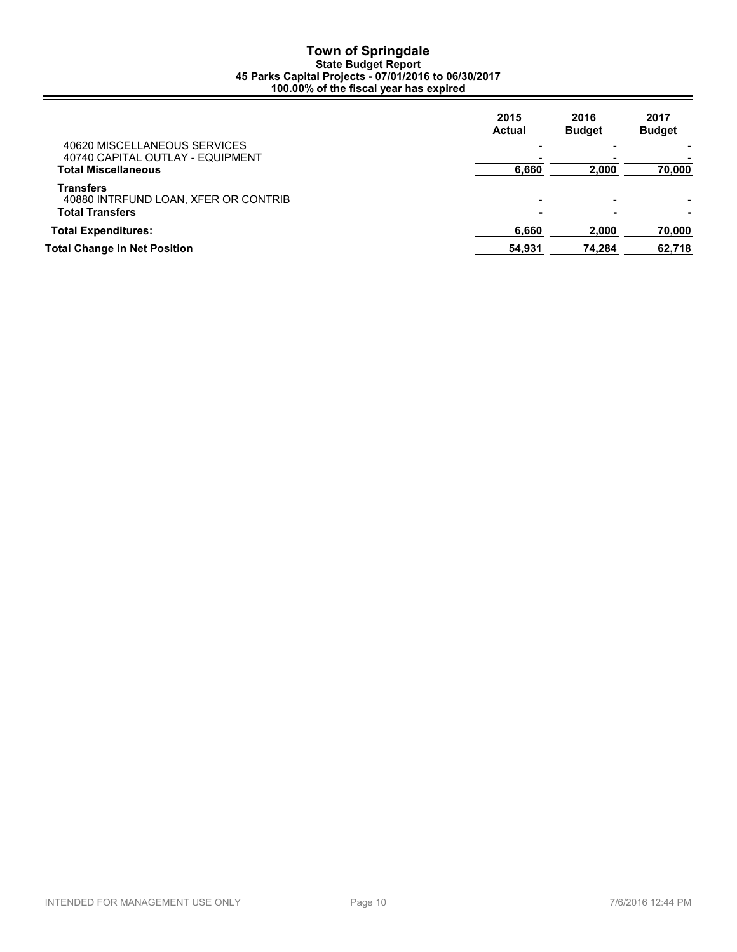## **Town of Springdale State Budget Report 45 Parks Capital Projects - 07/01/2016 to 06/30/2017 100.00% of the fiscal year has expired**

|                                                                             | 2015<br><b>Actual</b> | 2016<br><b>Budget</b> | 2017<br><b>Budget</b> |
|-----------------------------------------------------------------------------|-----------------------|-----------------------|-----------------------|
| 40620 MISCELLANEOUS SERVICES<br>40740 CAPITAL OUTLAY - EQUIPMENT            |                       |                       |                       |
| <b>Total Miscellaneous</b>                                                  | 6,660                 | 2,000                 | 70,000                |
| Transfers<br>40880 INTRFUND LOAN, XFER OR CONTRIB<br><b>Total Transfers</b> |                       |                       |                       |
| <b>Total Expenditures:</b>                                                  | 6,660                 | 2,000                 | 70,000                |
| <b>Total Change In Net Position</b>                                         | 54,931                | 74,284                | 62,718                |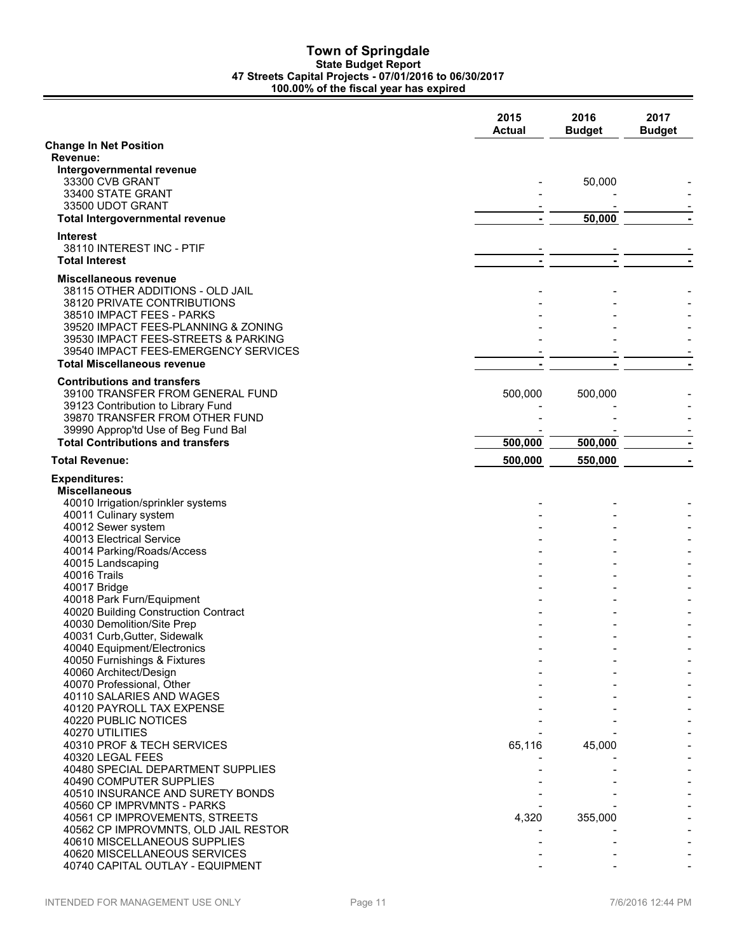### **Town of Springdale State Budget Report 47 Streets Capital Projects - 07/01/2016 to 06/30/2017 100.00% of the fiscal year has expired**

|                                                                                 | 2015<br><b>Actual</b> | 2016<br><b>Budget</b> | 2017<br><b>Budget</b> |
|---------------------------------------------------------------------------------|-----------------------|-----------------------|-----------------------|
| <b>Change In Net Position</b>                                                   |                       |                       |                       |
| Revenue:                                                                        |                       |                       |                       |
| Intergovernmental revenue<br>33300 CVB GRANT                                    |                       | 50,000                |                       |
| 33400 STATE GRANT                                                               |                       |                       |                       |
| 33500 UDOT GRANT                                                                |                       |                       |                       |
| <b>Total Intergovernmental revenue</b>                                          | $\blacksquare$        | 50,000                |                       |
| <b>Interest</b>                                                                 |                       |                       |                       |
| 38110 INTEREST INC - PTIF                                                       |                       |                       |                       |
| <b>Total Interest</b>                                                           | $\blacksquare$        | ٠                     |                       |
| <b>Miscellaneous revenue</b>                                                    |                       |                       |                       |
| 38115 OTHER ADDITIONS - OLD JAIL                                                |                       |                       |                       |
| 38120 PRIVATE CONTRIBUTIONS                                                     |                       |                       |                       |
| 38510 IMPACT FEES - PARKS<br>39520 IMPACT FEES-PLANNING & ZONING                |                       |                       |                       |
| 39530 IMPACT FEES-STREETS & PARKING                                             |                       |                       |                       |
| 39540 IMPACT FEES-EMERGENCY SERVICES                                            |                       |                       |                       |
| <b>Total Miscellaneous revenue</b>                                              |                       |                       |                       |
| <b>Contributions and transfers</b>                                              |                       |                       |                       |
| 39100 TRANSFER FROM GENERAL FUND                                                | 500,000               | 500,000               |                       |
| 39123 Contribution to Library Fund                                              |                       |                       |                       |
| 39870 TRANSFER FROM OTHER FUND                                                  |                       |                       |                       |
| 39990 Approp'td Use of Beg Fund Bal<br><b>Total Contributions and transfers</b> | 500,000               | 500,000               |                       |
|                                                                                 |                       |                       |                       |
| <b>Total Revenue:</b>                                                           | 500,000               | 550,000               |                       |
| <b>Expenditures:</b>                                                            |                       |                       |                       |
| <b>Miscellaneous</b>                                                            |                       |                       |                       |
| 40010 Irrigation/sprinkler systems<br>40011 Culinary system                     |                       |                       |                       |
| 40012 Sewer system                                                              |                       |                       |                       |
| 40013 Electrical Service                                                        |                       |                       |                       |
| 40014 Parking/Roads/Access                                                      |                       |                       |                       |
| 40015 Landscaping                                                               |                       |                       |                       |
| 40016 Trails                                                                    |                       |                       |                       |
| 40017 Bridge<br>40018 Park Furn/Equipment                                       |                       |                       |                       |
| 40020 Building Construction Contract                                            |                       |                       |                       |
| 40030 Demolition/Site Prep                                                      |                       |                       |                       |
| 40031 Curb, Gutter, Sidewalk                                                    |                       |                       |                       |
| 40040 Equipment/Electronics                                                     |                       |                       |                       |
| 40050 Furnishings & Fixtures<br>40060 Architect/Design                          |                       |                       |                       |
| 40070 Professional, Other                                                       |                       |                       |                       |
| 40110 SALARIES AND WAGES                                                        |                       |                       |                       |
| 40120 PAYROLL TAX EXPENSE                                                       |                       |                       |                       |
| 40220 PUBLIC NOTICES                                                            |                       |                       |                       |
| 40270 UTILITIES                                                                 |                       |                       |                       |
| 40310 PROF & TECH SERVICES<br>40320 LEGAL FEES                                  | 65,116                | 45,000                |                       |
| 40480 SPECIAL DEPARTMENT SUPPLIES                                               |                       |                       |                       |
| 40490 COMPUTER SUPPLIES                                                         |                       |                       |                       |
| 40510 INSURANCE AND SURETY BONDS                                                |                       |                       |                       |
| 40560 CP IMPRVMNTS - PARKS                                                      |                       |                       |                       |
| 40561 CP IMPROVEMENTS, STREETS                                                  | 4,320                 | 355,000               |                       |
| 40562 CP IMPROVMNTS, OLD JAIL RESTOR<br>40610 MISCELLANEOUS SUPPLIES            |                       |                       |                       |
| 40620 MISCELLANEOUS SERVICES                                                    |                       |                       |                       |
| 40740 CAPITAL OUTLAY - EQUIPMENT                                                |                       |                       |                       |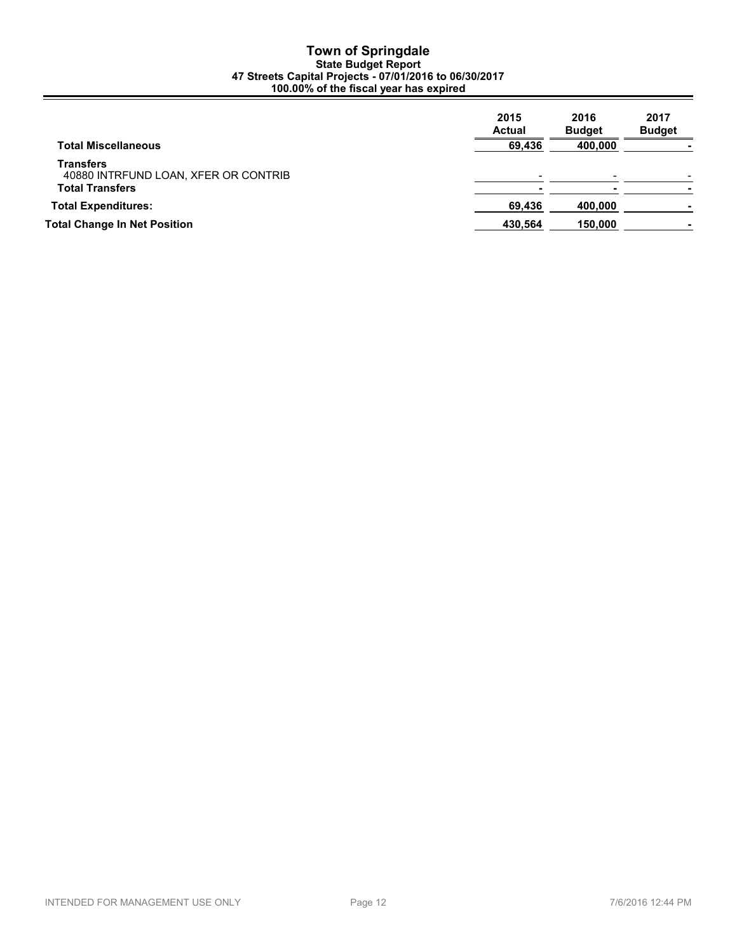### **Town of Springdale State Budget Report 47 Streets Capital Projects - 07/01/2016 to 06/30/2017 100.00% of the fiscal year has expired**

| <b>Total Miscellaneous</b>                                                  | 2015<br><b>Actual</b><br>69,436 | 2016<br><b>Budget</b><br>400,000 | 2017<br><b>Budget</b> |
|-----------------------------------------------------------------------------|---------------------------------|----------------------------------|-----------------------|
| Transfers<br>40880 INTRFUND LOAN, XFER OR CONTRIB<br><b>Total Transfers</b> |                                 |                                  |                       |
| <b>Total Expenditures:</b>                                                  | 69,436                          | 400,000                          |                       |
| <b>Total Change In Net Position</b>                                         | 430,564                         | 150,000                          |                       |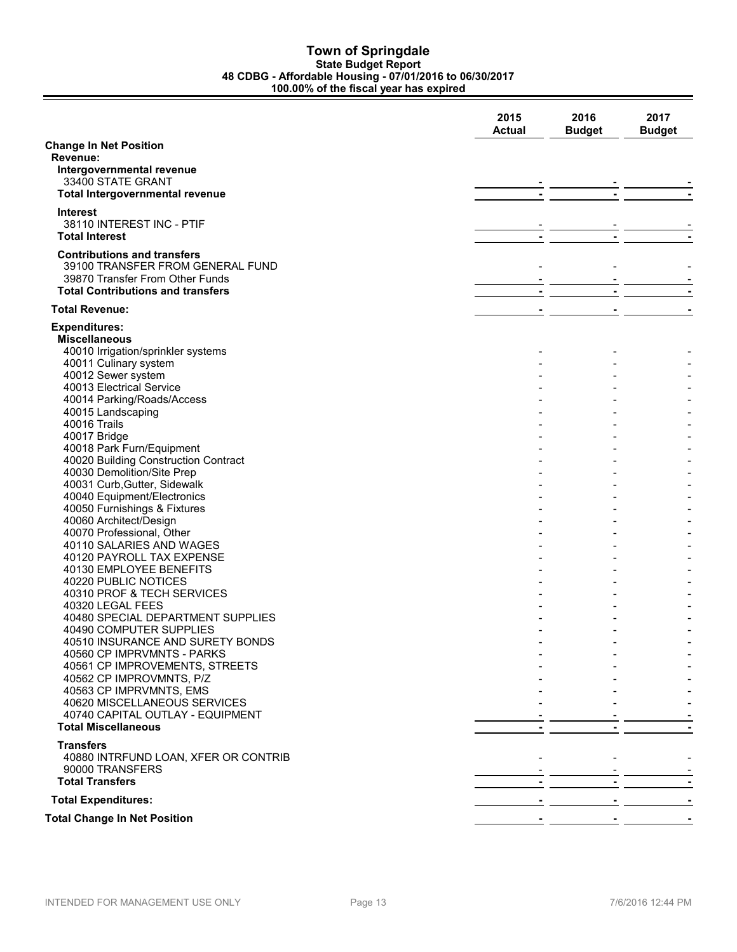### **Town of Springdale State Budget Report 48 CDBG - Affordable Housing - 07/01/2016 to 06/30/2017 100.00% of the fiscal year has expired**

|                                                    | 2015<br><b>Actual</b> | 2016<br><b>Budget</b> | 2017<br><b>Budget</b> |
|----------------------------------------------------|-----------------------|-----------------------|-----------------------|
| <b>Change In Net Position</b>                      |                       |                       |                       |
| Revenue:                                           |                       |                       |                       |
| Intergovernmental revenue                          |                       |                       |                       |
| 33400 STATE GRANT                                  |                       |                       |                       |
| Total Intergovernmental revenue                    |                       |                       |                       |
| Interest                                           |                       |                       |                       |
| 38110 INTEREST INC - PTIF                          |                       |                       |                       |
| <b>Total Interest</b>                              |                       |                       |                       |
| <b>Contributions and transfers</b>                 |                       |                       |                       |
| 39100 TRANSFER FROM GENERAL FUND                   |                       |                       |                       |
| 39870 Transfer From Other Funds                    |                       |                       |                       |
| <b>Total Contributions and transfers</b>           | $\blacksquare$        | $\blacksquare$        |                       |
| <b>Total Revenue:</b>                              |                       |                       |                       |
|                                                    |                       |                       |                       |
| <b>Expenditures:</b>                               |                       |                       |                       |
| <b>Miscellaneous</b>                               |                       |                       |                       |
| 40010 Irrigation/sprinkler systems                 |                       |                       |                       |
| 40011 Culinary system                              |                       |                       |                       |
| 40012 Sewer system<br>40013 Electrical Service     |                       |                       |                       |
| 40014 Parking/Roads/Access                         |                       |                       |                       |
| 40015 Landscaping                                  |                       |                       |                       |
| <b>40016 Trails</b>                                |                       |                       |                       |
| 40017 Bridge                                       |                       |                       |                       |
| 40018 Park Furn/Equipment                          |                       |                       |                       |
| 40020 Building Construction Contract               |                       |                       |                       |
| 40030 Demolition/Site Prep                         |                       |                       |                       |
| 40031 Curb, Gutter, Sidewalk                       |                       |                       |                       |
| 40040 Equipment/Electronics                        |                       |                       |                       |
| 40050 Furnishings & Fixtures                       |                       |                       |                       |
| 40060 Architect/Design                             |                       |                       |                       |
| 40070 Professional, Other                          |                       |                       |                       |
| 40110 SALARIES AND WAGES                           |                       |                       |                       |
| 40120 PAYROLL TAX EXPENSE                          |                       |                       |                       |
| 40130 EMPLOYEE BENEFITS                            |                       |                       |                       |
| 40220 PUBLIC NOTICES<br>40310 PROF & TECH SERVICES |                       |                       |                       |
| 40320 LEGAL FEES                                   |                       |                       |                       |
| 40480 SPECIAL DEPARTMENT SUPPLIES                  |                       |                       |                       |
| 40490 COMPUTER SUPPLIES                            |                       |                       |                       |
| 40510 INSURANCE AND SURETY BONDS                   |                       |                       |                       |
| 40560 CP IMPRVMNTS - PARKS                         |                       |                       |                       |
| 40561 CP IMPROVEMENTS, STREETS                     |                       |                       |                       |
| 40562 CP IMPROVMNTS, P/Z                           |                       |                       |                       |
| 40563 CP IMPRVMNTS, EMS                            |                       |                       |                       |
| 40620 MISCELLANEOUS SERVICES                       |                       |                       |                       |
| 40740 CAPITAL OUTLAY - EQUIPMENT                   |                       |                       |                       |
| <b>Total Miscellaneous</b>                         |                       |                       |                       |
| <b>Transfers</b>                                   |                       |                       |                       |
| 40880 INTRFUND LOAN, XFER OR CONTRIB               |                       |                       |                       |
| 90000 TRANSFERS                                    |                       |                       | <u> - _ _ _</u>       |
| <b>Total Transfers</b>                             |                       |                       |                       |
| <b>Total Expenditures:</b>                         |                       |                       |                       |
|                                                    |                       |                       |                       |
| <b>Total Change In Net Position</b>                |                       |                       |                       |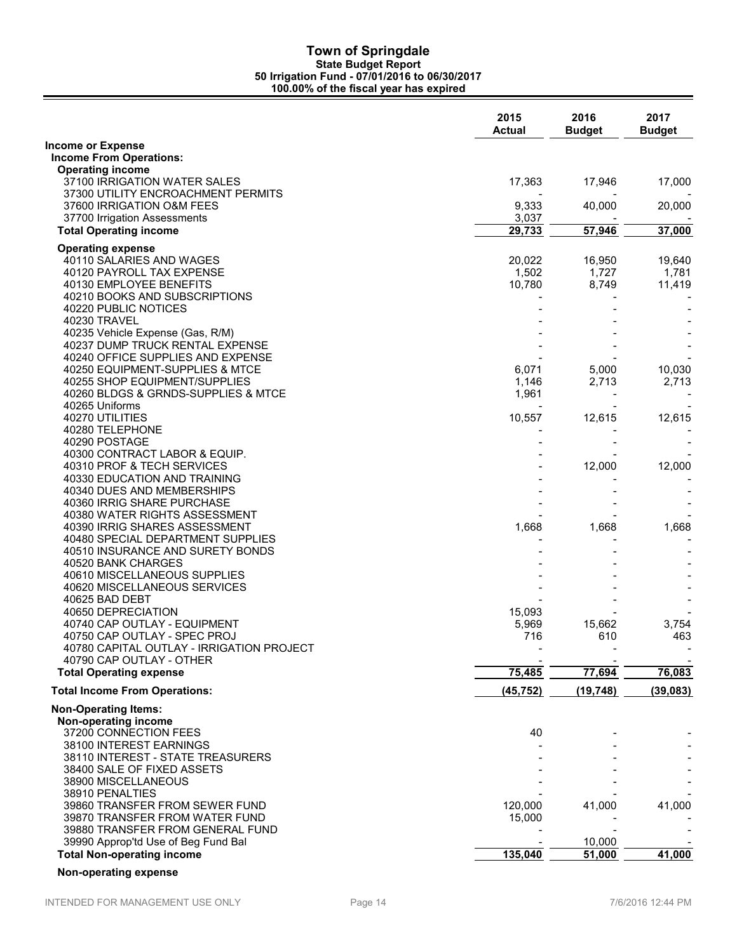|                                                                                                 | 2015<br><b>Actual</b> | 2016<br><b>Budget</b> | 2017<br><b>Budget</b> |
|-------------------------------------------------------------------------------------------------|-----------------------|-----------------------|-----------------------|
| <b>Income or Expense</b>                                                                        |                       |                       |                       |
| <b>Income From Operations:</b>                                                                  |                       |                       |                       |
| <b>Operating income</b><br>37100 IRRIGATION WATER SALES                                         | 17,363                | 17,946                | 17,000                |
| 37300 UTILITY ENCROACHMENT PERMITS<br>37600 IRRIGATION O&M FEES<br>37700 Irrigation Assessments | 9,333<br>3,037        | 40,000                | 20,000                |
| <b>Total Operating income</b>                                                                   | 29,733                | 57,946                | 37,000                |
|                                                                                                 |                       |                       |                       |
| <b>Operating expense</b><br>40110 SALARIES AND WAGES                                            | 20,022                | 16,950                | 19,640                |
| 40120 PAYROLL TAX EXPENSE                                                                       | 1,502                 | 1,727                 | 1,781                 |
| 40130 EMPLOYEE BENEFITS                                                                         | 10,780                | 8,749                 | 11,419                |
| 40210 BOOKS AND SUBSCRIPTIONS                                                                   |                       |                       |                       |
| 40220 PUBLIC NOTICES                                                                            |                       |                       |                       |
| 40230 TRAVEL                                                                                    |                       |                       |                       |
| 40235 Vehicle Expense (Gas, R/M)                                                                |                       |                       |                       |
| 40237 DUMP TRUCK RENTAL EXPENSE                                                                 |                       |                       |                       |
| 40240 OFFICE SUPPLIES AND EXPENSE                                                               |                       |                       |                       |
| 40250 EQUIPMENT-SUPPLIES & MTCE<br>40255 SHOP EQUIPMENT/SUPPLIES                                | 6,071<br>1,146        | 5,000<br>2,713        | 10,030<br>2,713       |
| 40260 BLDGS & GRNDS-SUPPLIES & MTCE                                                             | 1,961                 |                       |                       |
| 40265 Uniforms                                                                                  |                       |                       |                       |
| 40270 UTILITIES                                                                                 | 10,557                | 12,615                | 12,615                |
| 40280 TELEPHONE                                                                                 |                       |                       |                       |
| 40290 POSTAGE                                                                                   |                       |                       |                       |
| 40300 CONTRACT LABOR & EQUIP.                                                                   |                       |                       |                       |
| 40310 PROF & TECH SERVICES                                                                      |                       | 12,000                | 12,000                |
| 40330 EDUCATION AND TRAINING                                                                    |                       |                       |                       |
| 40340 DUES AND MEMBERSHIPS                                                                      |                       |                       |                       |
| 40360 IRRIG SHARE PURCHASE<br>40380 WATER RIGHTS ASSESSMENT                                     |                       |                       |                       |
| 40390 IRRIG SHARES ASSESSMENT                                                                   | 1,668                 | 1,668                 | 1,668                 |
| 40480 SPECIAL DEPARTMENT SUPPLIES                                                               |                       |                       |                       |
| 40510 INSURANCE AND SURETY BONDS                                                                |                       |                       |                       |
| 40520 BANK CHARGES                                                                              |                       |                       |                       |
| 40610 MISCELLANEOUS SUPPLIES                                                                    |                       |                       |                       |
| 40620 MISCELLANEOUS SERVICES                                                                    |                       |                       |                       |
| 40625 BAD DEBT                                                                                  |                       |                       |                       |
| 40650 DEPRECIATION                                                                              | 15,093                |                       |                       |
| 40740 CAP OUTLAY - EQUIPMENT                                                                    | 5,969                 | 15,662                | 3,754                 |
| 40750 CAP OUTLAY - SPEC PROJ<br>40780 CAPITAL OUTLAY - IRRIGATION PROJECT                       | 716                   | 610                   | 463                   |
| 40790 CAP OUTLAY - OTHER                                                                        |                       |                       |                       |
| <b>Total Operating expense</b>                                                                  | 75,485                | 77,694                | 76,083                |
|                                                                                                 |                       |                       |                       |
| <b>Total Income From Operations:</b>                                                            | (45, 752)             | (19, 748)             | (39,083)              |
| <b>Non-Operating Items:</b>                                                                     |                       |                       |                       |
| Non-operating income                                                                            |                       |                       |                       |
| 37200 CONNECTION FEES                                                                           | 40                    |                       |                       |
| 38100 INTEREST EARNINGS<br>38110 INTEREST - STATE TREASURERS                                    |                       |                       |                       |
| 38400 SALE OF FIXED ASSETS                                                                      |                       |                       |                       |
| 38900 MISCELLANEOUS                                                                             |                       |                       |                       |
| 38910 PENALTIES                                                                                 |                       |                       |                       |
| 39860 TRANSFER FROM SEWER FUND                                                                  | 120,000               | 41,000                | 41,000                |
| 39870 TRANSFER FROM WATER FUND                                                                  | 15,000                |                       |                       |
| 39880 TRANSFER FROM GENERAL FUND                                                                |                       |                       |                       |
| 39990 Approp'td Use of Beg Fund Bal                                                             |                       | 10,000                |                       |
| <b>Total Non-operating income</b>                                                               | 135,040               | 51,000                | 41,000                |

**Non-operating expense**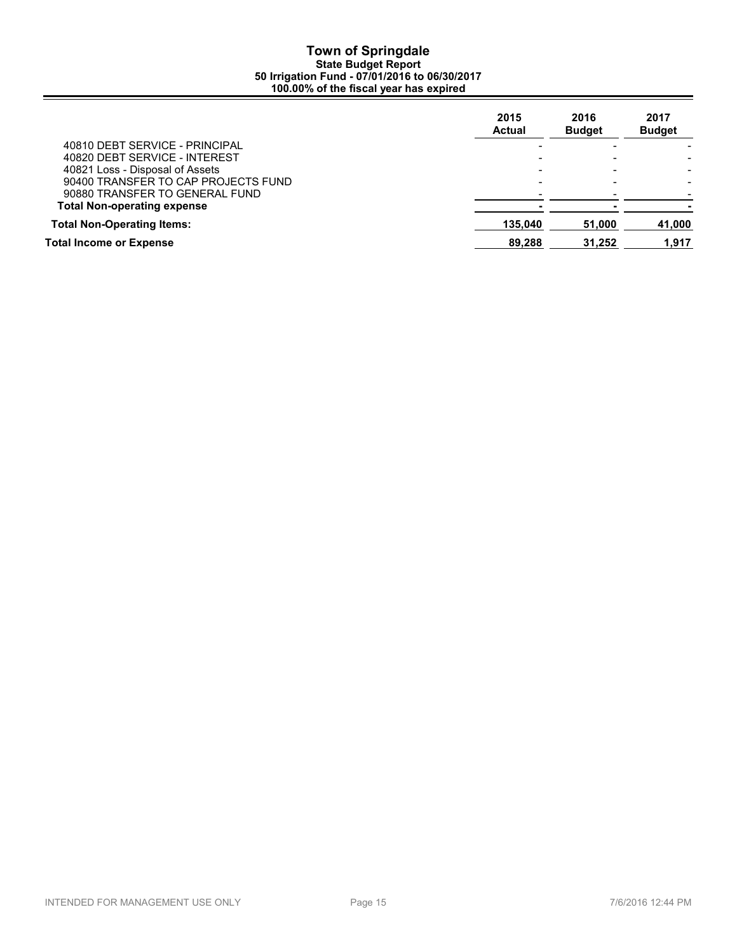|                                     | 2015<br><b>Actual</b> | 2016<br><b>Budget</b> | 2017<br><b>Budget</b> |
|-------------------------------------|-----------------------|-----------------------|-----------------------|
| 40810 DEBT SERVICE - PRINCIPAL      |                       |                       |                       |
| 40820 DEBT SERVICE - INTEREST       |                       |                       |                       |
| 40821 Loss - Disposal of Assets     |                       |                       |                       |
| 90400 TRANSFER TO CAP PROJECTS FUND |                       |                       |                       |
| 90880 TRANSFER TO GENERAL FUND      |                       |                       |                       |
| <b>Total Non-operating expense</b>  |                       |                       |                       |
| <b>Total Non-Operating Items:</b>   | 135.040               | 51.000                | 41,000                |
| Total Income or Expense             | 89,288                | 31,252                | 1.917                 |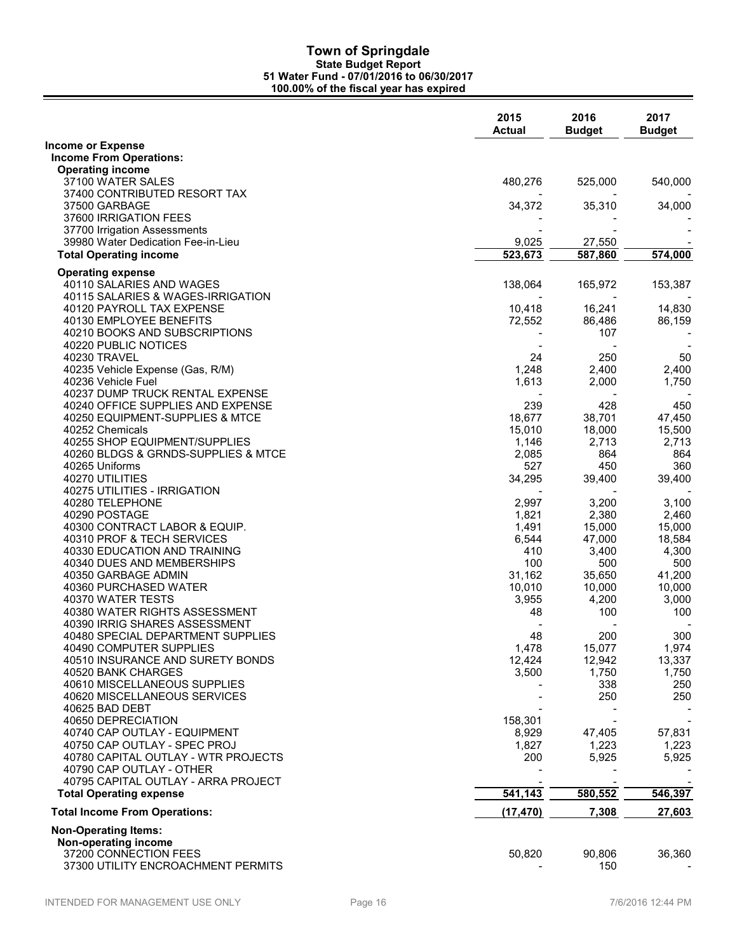|                                                    | 2015<br><b>Actual</b> | 2016<br><b>Budget</b> | 2017<br><b>Budget</b> |
|----------------------------------------------------|-----------------------|-----------------------|-----------------------|
| <b>Income or Expense</b>                           |                       |                       |                       |
| <b>Income From Operations:</b>                     |                       |                       |                       |
| <b>Operating income</b>                            |                       |                       |                       |
| 37100 WATER SALES                                  | 480,276               | 525,000               | 540,000               |
| 37400 CONTRIBUTED RESORT TAX                       |                       |                       |                       |
| 37500 GARBAGE                                      | 34,372                | 35,310                | 34,000                |
| 37600 IRRIGATION FEES                              |                       |                       |                       |
| 37700 Irrigation Assessments                       |                       |                       |                       |
| 39980 Water Dedication Fee-in-Lieu                 | 9,025                 | 27,550                |                       |
| <b>Total Operating income</b>                      | 523,673               | 587,860               | 574,000               |
| <b>Operating expense</b>                           |                       |                       |                       |
| 40110 SALARIES AND WAGES                           | 138,064               | 165,972               | 153,387               |
| 40115 SALARIES & WAGES-IRRIGATION                  |                       |                       |                       |
| 40120 PAYROLL TAX EXPENSE                          | 10,418                | 16,241                | 14,830                |
| 40130 EMPLOYEE BENEFITS                            | 72,552                | 86,486                | 86,159                |
| 40210 BOOKS AND SUBSCRIPTIONS                      |                       | 107                   |                       |
| 40220 PUBLIC NOTICES                               |                       |                       |                       |
| 40230 TRAVEL                                       | 24                    | 250                   | 50                    |
| 40235 Vehicle Expense (Gas, R/M)                   | 1,248                 | 2,400                 | 2,400                 |
| 40236 Vehicle Fuel                                 | 1,613                 | 2,000                 | 1,750                 |
| 40237 DUMP TRUCK RENTAL EXPENSE                    |                       |                       |                       |
| 40240 OFFICE SUPPLIES AND EXPENSE                  | 239                   | 428                   | 450                   |
| 40250 EQUIPMENT-SUPPLIES & MTCE                    | 18,677                | 38,701                | 47,450                |
| 40252 Chemicals                                    | 15,010                | 18,000                | 15,500                |
| 40255 SHOP EQUIPMENT/SUPPLIES                      | 1,146                 | 2,713                 | 2,713                 |
| 40260 BLDGS & GRNDS-SUPPLIES & MTCE                | 2,085                 | 864                   | 864                   |
| 40265 Uniforms                                     | 527                   | 450                   | 360                   |
| 40270 UTILITIES                                    | 34,295                | 39,400                | 39,400                |
| 40275 UTILITIES - IRRIGATION                       |                       |                       |                       |
| 40280 TELEPHONE                                    | 2,997                 | 3,200                 | 3,100                 |
| 40290 POSTAGE                                      | 1,821                 | 2,380                 | 2,460                 |
| 40300 CONTRACT LABOR & EQUIP.                      | 1,491                 | 15,000                | 15,000                |
| 40310 PROF & TECH SERVICES                         | 6,544                 | 47,000                | 18,584                |
| 40330 EDUCATION AND TRAINING                       | 410                   | 3,400                 | 4,300                 |
| 40340 DUES AND MEMBERSHIPS                         | 100                   | 500                   | 500                   |
| 40350 GARBAGE ADMIN                                | 31,162                | 35,650                | 41,200                |
| 40360 PURCHASED WATER                              | 10,010                | 10,000                | 10,000                |
| 40370 WATER TESTS                                  | 3,955                 | 4,200                 | 3,000                 |
| 40380 WATER RIGHTS ASSESSMENT                      | 48                    | 100                   | 100                   |
| 40390 IRRIG SHARES ASSESSMENT                      |                       |                       |                       |
| 40480 SPECIAL DEPARTMENT SUPPLIES                  | 48                    | 200                   | 300                   |
| 40490 COMPUTER SUPPLIES                            | 1,478                 | 15,077                | 1,974                 |
| 40510 INSURANCE AND SURETY BONDS                   | 12,424<br>3.500       | 12,942                | 13,337                |
| 40520 BANK CHARGES<br>40610 MISCELLANEOUS SUPPLIES |                       | 1,750<br>338          | 1,750<br>250          |
| 40620 MISCELLANEOUS SERVICES                       |                       | 250                   | 250                   |
| 40625 BAD DEBT                                     |                       |                       |                       |
| 40650 DEPRECIATION                                 | 158,301               |                       |                       |
| 40740 CAP OUTLAY - EQUIPMENT                       | 8,929                 | 47,405                | 57,831                |
| 40750 CAP OUTLAY - SPEC PROJ                       | 1,827                 | 1,223                 | 1,223                 |
| 40780 CAPITAL OUTLAY - WTR PROJECTS                | 200                   | 5,925                 | 5,925                 |
| 40790 CAP OUTLAY - OTHER                           |                       |                       |                       |
| 40795 CAPITAL OUTLAY - ARRA PROJECT                |                       |                       |                       |
| <b>Total Operating expense</b>                     | 541,143               | 580,552               | 546,397               |
|                                                    |                       |                       |                       |
| <b>Total Income From Operations:</b>               | (17, 470)             | 7,308                 | 27,603                |
| <b>Non-Operating Items:</b>                        |                       |                       |                       |
| Non-operating income                               |                       |                       |                       |
| 37200 CONNECTION FEES                              | 50,820                | 90,806                | 36,360                |
| 37300 UTILITY ENCROACHMENT PERMITS                 |                       | 150                   |                       |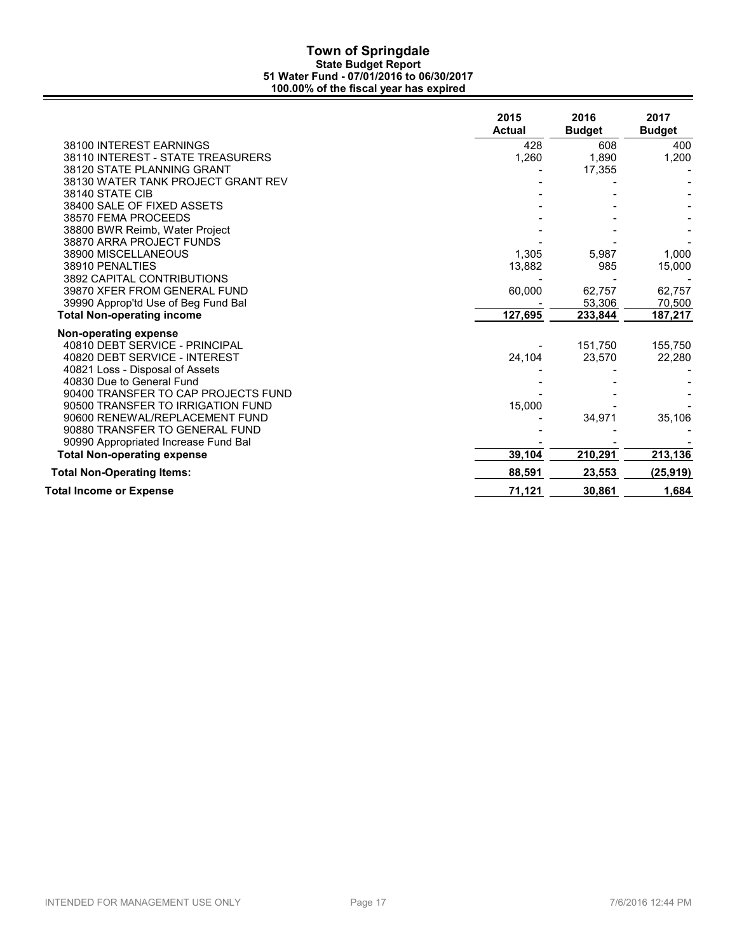|                                                                          | 2015<br><b>Actual</b> | 2016<br><b>Budget</b> | 2017<br><b>Budget</b> |
|--------------------------------------------------------------------------|-----------------------|-----------------------|-----------------------|
| 38100 INTEREST EARNINGS                                                  | 428                   | 608                   | 400                   |
| 38110 INTEREST - STATE TREASURERS                                        | 1,260                 | 1,890                 | 1,200                 |
| 38120 STATE PLANNING GRANT                                               |                       | 17,355                |                       |
| 38130 WATER TANK PROJECT GRANT REV                                       |                       |                       |                       |
| 38140 STATE CIB                                                          |                       |                       |                       |
| 38400 SALE OF FIXED ASSETS                                               |                       |                       |                       |
| 38570 FEMA PROCEEDS                                                      |                       |                       |                       |
| 38800 BWR Reimb, Water Project                                           |                       |                       |                       |
| 38870 ARRA PROJECT FUNDS                                                 |                       |                       |                       |
| 38900 MISCELLANEOUS                                                      | 1,305                 | 5,987                 | 1,000                 |
| 38910 PENALTIES                                                          | 13,882                | 985                   | 15,000                |
| 3892 CAPITAL CONTRIBUTIONS                                               |                       |                       |                       |
| 39870 XFER FROM GENERAL FUND                                             | 60,000                | 62,757                | 62,757                |
| 39990 Approp'td Use of Beg Fund Bal<br><b>Total Non-operating income</b> | 127,695               | 53,306<br>233,844     | 70,500                |
|                                                                          |                       |                       | 187,217               |
| Non-operating expense                                                    |                       |                       |                       |
| 40810 DEBT SERVICE - PRINCIPAL                                           |                       | 151,750               | 155,750               |
| 40820 DEBT SERVICE - INTEREST                                            | 24,104                | 23,570                | 22,280                |
| 40821 Loss - Disposal of Assets                                          |                       |                       |                       |
| 40830 Due to General Fund                                                |                       |                       |                       |
| 90400 TRANSFER TO CAP PROJECTS FUND                                      |                       |                       |                       |
| 90500 TRANSFER TO IRRIGATION FUND                                        | 15,000                |                       |                       |
| 90600 RENEWAL/REPLACEMENT FUND                                           |                       | 34,971                | 35,106                |
| 90880 TRANSFER TO GENERAL FUND<br>90990 Appropriated Increase Fund Bal   |                       |                       |                       |
| <b>Total Non-operating expense</b>                                       | 39,104                | 210,291               | 213,136               |
| <b>Total Non-Operating Items:</b>                                        | 88,591                | 23,553                | (25, 919)             |
| Total Income or Expense                                                  | 71,121                | 30,861                | 1,684                 |
|                                                                          |                       |                       |                       |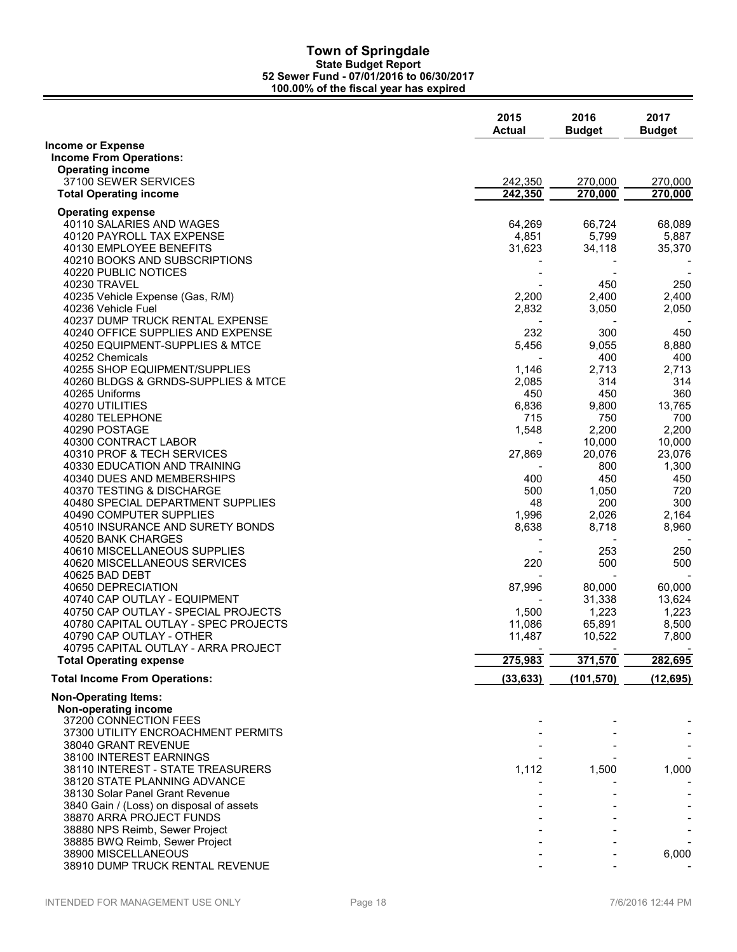|                                                                      | 2015<br><b>Actual</b> | 2016<br><b>Budget</b> | 2017<br><b>Budget</b> |
|----------------------------------------------------------------------|-----------------------|-----------------------|-----------------------|
| <b>Income or Expense</b>                                             |                       |                       |                       |
| <b>Income From Operations:</b>                                       |                       |                       |                       |
| <b>Operating income</b><br>37100 SEWER SERVICES                      | 242,350               | 270,000               | 270,000               |
| <b>Total Operating income</b>                                        | 242,350               | 270,000               | 270,000               |
|                                                                      |                       |                       |                       |
| <b>Operating expense</b>                                             |                       |                       |                       |
| 40110 SALARIES AND WAGES<br>40120 PAYROLL TAX EXPENSE                | 64,269<br>4,851       | 66,724<br>5,799       | 68,089<br>5,887       |
| 40130 EMPLOYEE BENEFITS                                              | 31,623                | 34,118                | 35,370                |
| 40210 BOOKS AND SUBSCRIPTIONS                                        |                       |                       |                       |
| 40220 PUBLIC NOTICES                                                 |                       |                       |                       |
| 40230 TRAVEL                                                         |                       | 450                   | 250                   |
| 40235 Vehicle Expense (Gas, R/M)                                     | 2,200                 | 2,400                 | 2,400                 |
| 40236 Vehicle Fuel                                                   | 2,832                 | 3,050                 | 2,050                 |
| 40237 DUMP TRUCK RENTAL EXPENSE<br>40240 OFFICE SUPPLIES AND EXPENSE | 232                   | 300                   | 450                   |
| 40250 EQUIPMENT-SUPPLIES & MTCE                                      | 5,456                 | 9,055                 | 8,880                 |
| 40252 Chemicals                                                      |                       | 400                   | 400                   |
| 40255 SHOP EQUIPMENT/SUPPLIES                                        | 1,146                 | 2,713                 | 2,713                 |
| 40260 BLDGS & GRNDS-SUPPLIES & MTCE                                  | 2,085                 | 314                   | 314                   |
| 40265 Uniforms                                                       | 450                   | 450                   | 360                   |
| 40270 UTILITIES                                                      | 6,836                 | 9,800                 | 13,765                |
| 40280 TELEPHONE<br>40290 POSTAGE                                     | 715                   | 750                   | 700                   |
| 40300 CONTRACT LABOR                                                 | 1,548                 | 2,200<br>10,000       | 2,200<br>10,000       |
| 40310 PROF & TECH SERVICES                                           | 27,869                | 20,076                | 23,076                |
| 40330 EDUCATION AND TRAINING                                         |                       | 800                   | 1,300                 |
| 40340 DUES AND MEMBERSHIPS                                           | 400                   | 450                   | 450                   |
| 40370 TESTING & DISCHARGE                                            | 500                   | 1,050                 | 720                   |
| 40480 SPECIAL DEPARTMENT SUPPLIES                                    | 48                    | 200                   | 300                   |
| 40490 COMPUTER SUPPLIES                                              | 1,996                 | 2,026                 | 2,164                 |
| 40510 INSURANCE AND SURETY BONDS<br>40520 BANK CHARGES               | 8,638                 | 8,718                 | 8,960                 |
| 40610 MISCELLANEOUS SUPPLIES                                         |                       | 253                   | 250                   |
| 40620 MISCELLANEOUS SERVICES                                         | 220                   | 500                   | 500                   |
| 40625 BAD DEBT                                                       |                       |                       |                       |
| 40650 DEPRECIATION                                                   | 87,996                | 80,000                | 60,000                |
| 40740 CAP OUTLAY - EQUIPMENT                                         |                       | 31,338                | 13,624                |
| 40750 CAP OUTLAY - SPECIAL PROJECTS                                  | 1,500                 | 1,223                 | 1,223                 |
| 40780 CAPITAL OUTLAY - SPEC PROJECTS<br>40790 CAP OUTLAY - OTHER     | 11,086<br>11,487      | 65,891<br>10,522      | 8,500<br>7,800        |
| 40795 CAPITAL OUTLAY - ARRA PROJECT                                  |                       |                       |                       |
| <b>Total Operating expense</b>                                       | 275,983               | 371,570               | 282,695               |
| <b>Total Income From Operations:</b>                                 | (33, 633)             | (101, 570)            | (12, 695)             |
| <b>Non-Operating Items:</b>                                          |                       |                       |                       |
| Non-operating income                                                 |                       |                       |                       |
| 37200 CONNECTION FEES                                                |                       |                       |                       |
| 37300 UTILITY ENCROACHMENT PERMITS                                   |                       |                       |                       |
| 38040 GRANT REVENUE<br>38100 INTEREST EARNINGS                       |                       |                       |                       |
| 38110 INTEREST - STATE TREASURERS                                    | 1,112                 | 1,500                 | 1,000                 |
| 38120 STATE PLANNING ADVANCE                                         |                       |                       |                       |
| 38130 Solar Panel Grant Revenue                                      |                       |                       |                       |
| 3840 Gain / (Loss) on disposal of assets                             |                       |                       |                       |
| 38870 ARRA PROJECT FUNDS                                             |                       |                       |                       |
| 38880 NPS Reimb, Sewer Project                                       |                       |                       |                       |
| 38885 BWQ Reimb, Sewer Project<br>38900 MISCELLANEOUS                |                       |                       | 6,000                 |
| 38910 DUMP TRUCK RENTAL REVENUE                                      |                       |                       |                       |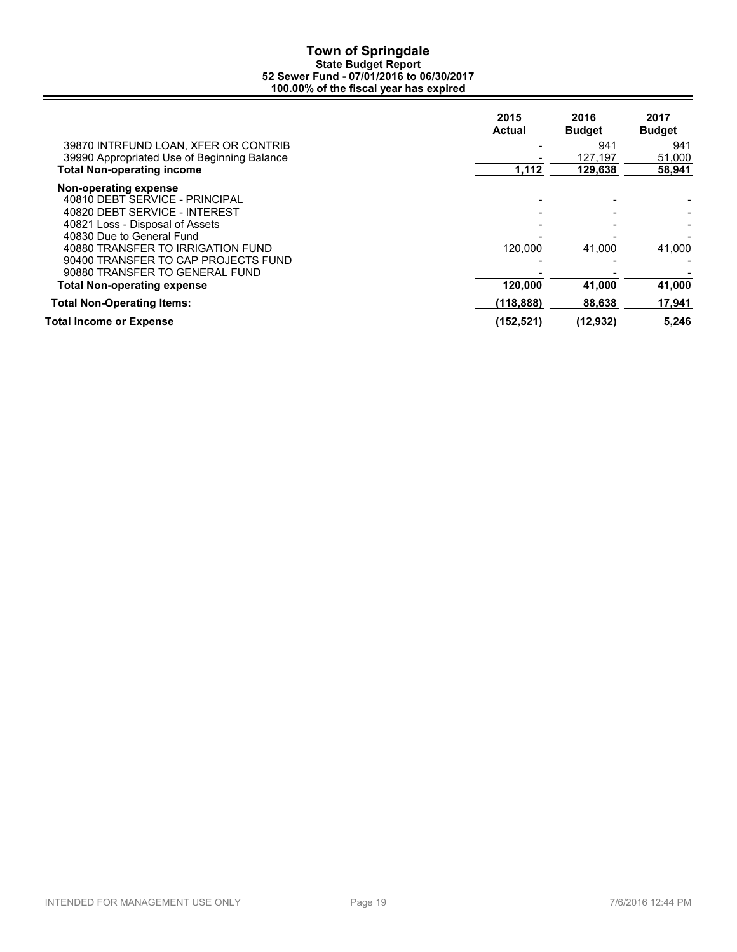|                                             | 2015<br><b>Actual</b> | 2016<br><b>Budget</b> | 2017<br><b>Budget</b> |
|---------------------------------------------|-----------------------|-----------------------|-----------------------|
| 39870 INTRFUND LOAN, XFER OR CONTRIB        |                       | 941                   | 941                   |
| 39990 Appropriated Use of Beginning Balance |                       | 127.197               | 51,000                |
| <b>Total Non-operating income</b>           | 1,112                 | 129,638               | 58,941                |
| Non-operating expense                       |                       |                       |                       |
| 40810 DEBT SERVICE - PRINCIPAL              |                       |                       |                       |
| 40820 DEBT SERVICE - INTEREST               |                       |                       |                       |
| 40821 Loss - Disposal of Assets             |                       |                       |                       |
| 40830 Due to General Fund                   |                       |                       |                       |
| 40880 TRANSFER TO IRRIGATION FUND           | 120.000               | 41,000                | 41,000                |
| 90400 TRANSFER TO CAP PROJECTS FUND         |                       |                       |                       |
| 90880 TRANSFER TO GENERAL FUND              |                       |                       |                       |
| <b>Total Non-operating expense</b>          | 120,000               | 41,000                | 41,000                |
| <b>Total Non-Operating Items:</b>           | (118, 888)            | 88,638                | 17,941                |
| Total Income or Expense                     | (152, 521)            | (12,932)              | 5,246                 |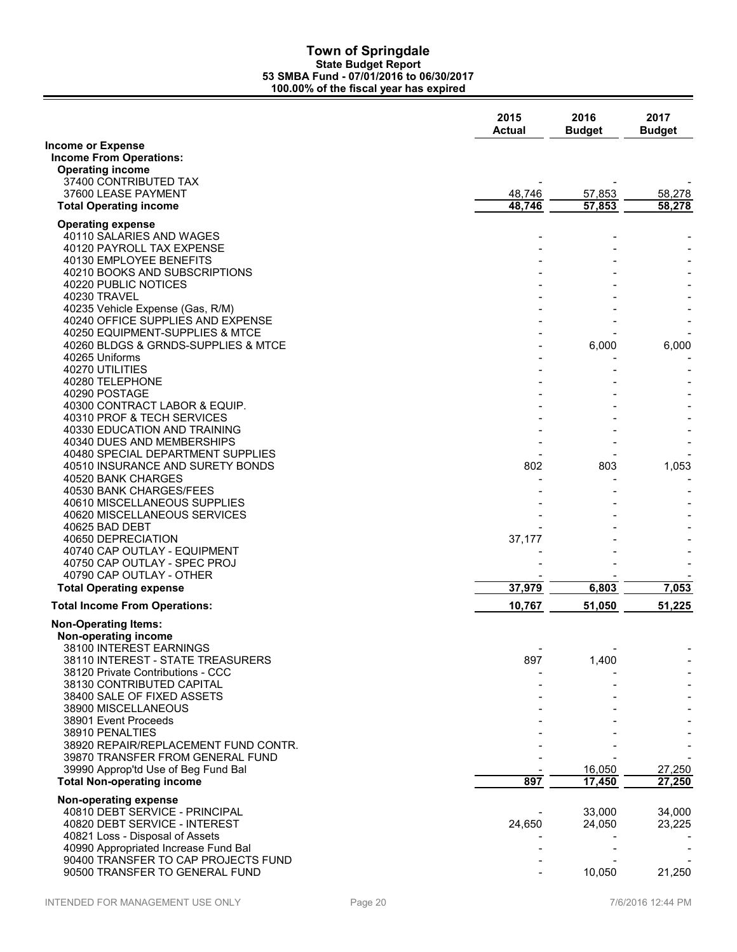|                                                                          | 2015<br><b>Actual</b> | 2016<br><b>Budget</b> | 2017<br><b>Budget</b> |
|--------------------------------------------------------------------------|-----------------------|-----------------------|-----------------------|
| <b>Income or Expense</b>                                                 |                       |                       |                       |
| <b>Income From Operations:</b><br><b>Operating income</b>                |                       |                       |                       |
| 37400 CONTRIBUTED TAX                                                    |                       |                       |                       |
| 37600 LEASE PAYMENT                                                      | 48,746                | 57,853                | 58,278                |
| <b>Total Operating income</b>                                            | 48,746                | 57,853                | 58,278                |
| <b>Operating expense</b>                                                 |                       |                       |                       |
| 40110 SALARIES AND WAGES                                                 |                       |                       |                       |
| 40120 PAYROLL TAX EXPENSE<br>40130 EMPLOYEE BENEFITS                     |                       |                       |                       |
| 40210 BOOKS AND SUBSCRIPTIONS                                            |                       |                       |                       |
| 40220 PUBLIC NOTICES                                                     |                       |                       |                       |
| 40230 TRAVEL                                                             |                       |                       |                       |
| 40235 Vehicle Expense (Gas, R/M)                                         |                       |                       |                       |
| 40240 OFFICE SUPPLIES AND EXPENSE<br>40250 EQUIPMENT-SUPPLIES & MTCE     |                       |                       |                       |
| 40260 BLDGS & GRNDS-SUPPLIES & MTCE                                      |                       | 6,000                 | 6,000                 |
| 40265 Uniforms                                                           |                       |                       |                       |
| 40270 UTILITIES                                                          |                       |                       |                       |
| 40280 TELEPHONE<br>40290 POSTAGE                                         |                       |                       |                       |
| 40300 CONTRACT LABOR & EQUIP.                                            |                       |                       |                       |
| 40310 PROF & TECH SERVICES                                               |                       |                       |                       |
| 40330 EDUCATION AND TRAINING                                             |                       |                       |                       |
| 40340 DUES AND MEMBERSHIPS                                               |                       |                       |                       |
| 40480 SPECIAL DEPARTMENT SUPPLIES<br>40510 INSURANCE AND SURETY BONDS    | 802                   | 803                   | 1,053                 |
| 40520 BANK CHARGES                                                       |                       |                       |                       |
| 40530 BANK CHARGES/FEES                                                  |                       |                       |                       |
| 40610 MISCELLANEOUS SUPPLIES                                             |                       |                       |                       |
| 40620 MISCELLANEOUS SERVICES<br>40625 BAD DEBT                           |                       |                       |                       |
| 40650 DEPRECIATION                                                       | 37,177                |                       |                       |
| 40740 CAP OUTLAY - EQUIPMENT                                             |                       |                       |                       |
| 40750 CAP OUTLAY - SPEC PROJ                                             |                       |                       |                       |
| 40790 CAP OUTLAY - OTHER                                                 |                       |                       |                       |
| <b>Total Operating expense</b>                                           | 37,979                | 6,803                 | 7,053                 |
| <b>Total Income From Operations:</b>                                     | 10,767                | 51,050                | 51,225                |
| <b>Non-Operating Items:</b>                                              |                       |                       |                       |
| Non-operating income<br>38100 INTEREST EARNINGS                          |                       |                       |                       |
| 38110 INTEREST - STATE TREASURERS                                        | 897                   | 1,400                 |                       |
| 38120 Private Contributions - CCC                                        |                       |                       |                       |
| 38130 CONTRIBUTED CAPITAL                                                |                       |                       |                       |
| 38400 SALE OF FIXED ASSETS                                               |                       |                       |                       |
| 38900 MISCELLANEOUS<br>38901 Event Proceeds                              |                       |                       |                       |
| 38910 PENALTIES                                                          |                       |                       |                       |
| 38920 REPAIR/REPLACEMENT FUND CONTR.                                     |                       |                       |                       |
| 39870 TRANSFER FROM GENERAL FUND                                         |                       |                       |                       |
| 39990 Approp'td Use of Beg Fund Bal<br><b>Total Non-operating income</b> | 897                   | 16,050<br>17,450      | 27,250<br>27,250      |
|                                                                          |                       |                       |                       |
| Non-operating expense                                                    |                       |                       |                       |
| 40810 DEBT SERVICE - PRINCIPAL<br>40820 DEBT SERVICE - INTEREST          | 24,650                | 33,000<br>24,050      | 34,000<br>23,225      |
| 40821 Loss - Disposal of Assets                                          |                       |                       |                       |
| 40990 Appropriated Increase Fund Bal                                     |                       |                       |                       |
| 90400 TRANSFER TO CAP PROJECTS FUND                                      |                       |                       |                       |
| 90500 TRANSFER TO GENERAL FUND                                           |                       | 10,050                | 21,250                |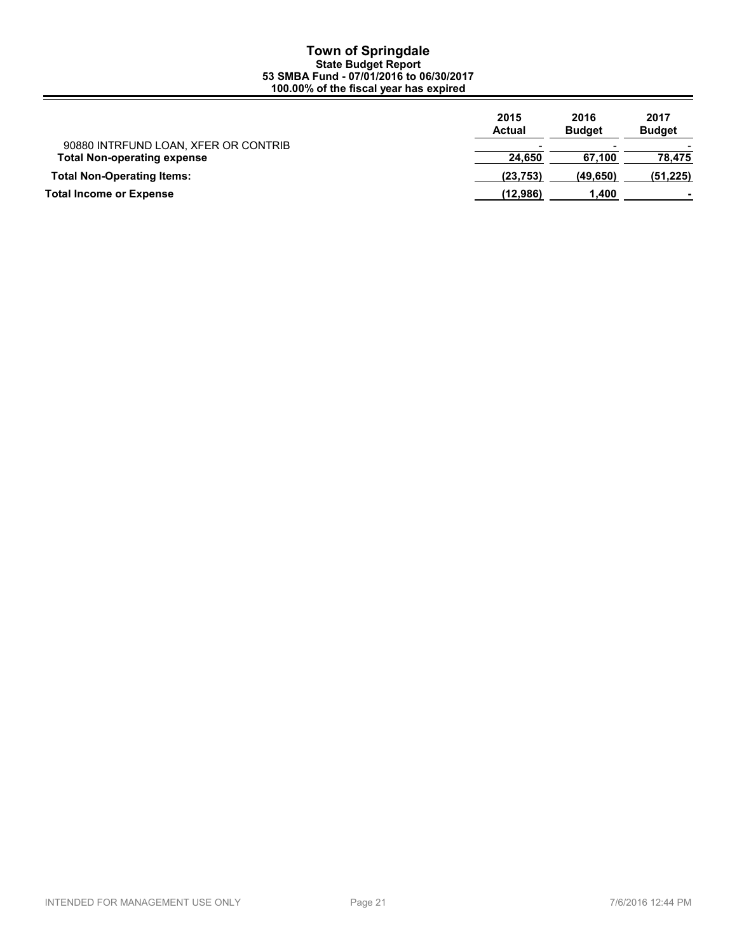|                                                                            | 2015<br><b>Actual</b> | 2016<br><b>Budget</b> | 2017<br><b>Budget</b> |
|----------------------------------------------------------------------------|-----------------------|-----------------------|-----------------------|
| 90880 INTRFUND LOAN, XFER OR CONTRIB<br><b>Total Non-operating expense</b> | 24.650                | 67.100                | 78.475                |
| <b>Total Non-Operating Items:</b>                                          | (23, 753)             | (49, 650)             | (51, 225)             |
| <b>Total Income or Expense</b>                                             | (12,986)              | 1.400                 |                       |